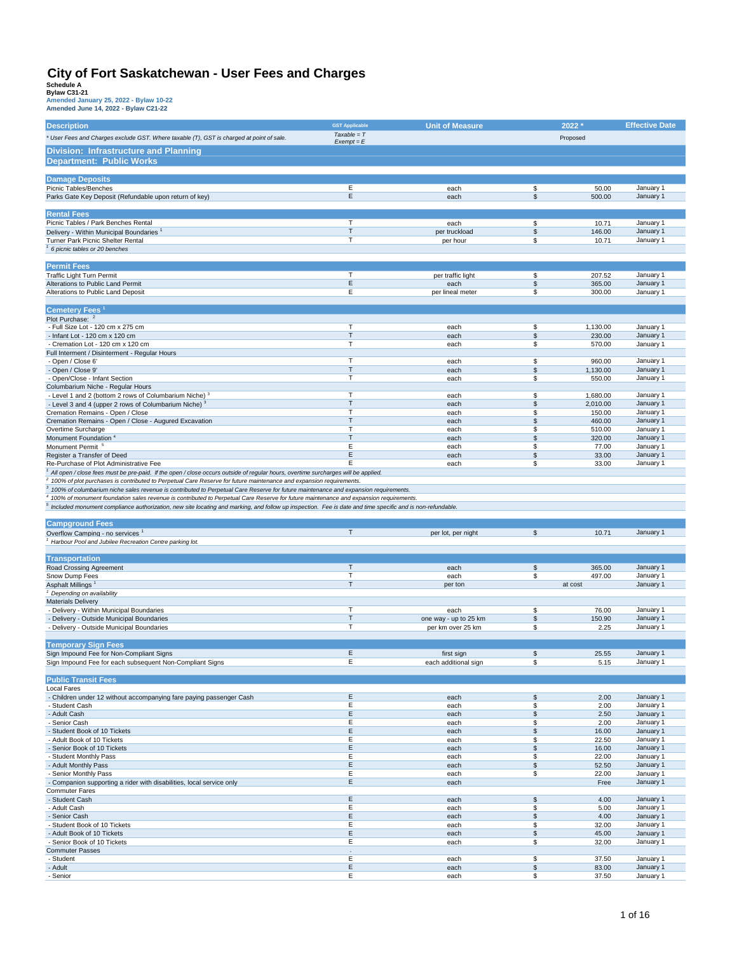| <b>Description</b>                                                                                                                                                                                                                                                                    | <b>GST Applicable</b> | <b>Unit of Measure</b> |                       | 2022 *         | <b>Effective Date</b>  |
|---------------------------------------------------------------------------------------------------------------------------------------------------------------------------------------------------------------------------------------------------------------------------------------|-----------------------|------------------------|-----------------------|----------------|------------------------|
|                                                                                                                                                                                                                                                                                       | $Taxable = T$         |                        |                       |                |                        |
| * User Fees and Charges exclude GST. Where taxable (T), GST is charged at point of sale.                                                                                                                                                                                              | $Exempt = E$          |                        |                       | Proposed       |                        |
| Division: Infrastructure and Planning                                                                                                                                                                                                                                                 |                       |                        |                       |                |                        |
| <b>Department: Public Works</b>                                                                                                                                                                                                                                                       |                       |                        |                       |                |                        |
|                                                                                                                                                                                                                                                                                       |                       |                        |                       |                |                        |
| <b>Damage Deposits</b>                                                                                                                                                                                                                                                                |                       |                        |                       |                |                        |
| Picnic Tables/Benches                                                                                                                                                                                                                                                                 | Ε                     |                        | \$                    | 50.00          | January 1              |
|                                                                                                                                                                                                                                                                                       | E                     | each<br>each           | $$\mathbb{S}$$        | 500.00         | January 1              |
| Parks Gate Key Deposit (Refundable upon return of key)                                                                                                                                                                                                                                |                       |                        |                       |                |                        |
|                                                                                                                                                                                                                                                                                       |                       |                        |                       |                |                        |
| <b>Rental Fees</b><br>Picnic Tables / Park Benches Rental                                                                                                                                                                                                                             | T                     |                        |                       |                |                        |
|                                                                                                                                                                                                                                                                                       | T                     | each                   | \$                    | 10.71          | January 1              |
| Delivery - Within Municipal Boundaries <sup>1</sup>                                                                                                                                                                                                                                   | T                     | per truckload          | \$                    | 146.00         | January 1              |
| Turner Park Picnic Shelter Rental<br>6 picnic tables or 20 benches                                                                                                                                                                                                                    |                       | per hour               | \$                    | 10.71          | January 1              |
|                                                                                                                                                                                                                                                                                       |                       |                        |                       |                |                        |
|                                                                                                                                                                                                                                                                                       |                       |                        |                       |                |                        |
| <b>Permit Fees</b>                                                                                                                                                                                                                                                                    | Т                     |                        |                       | 207.52         | January 1              |
| Traffic Light Turn Permit                                                                                                                                                                                                                                                             | E                     | per traffic light      | \$<br>\$              | 365.00         | January 1              |
| Alterations to Public Land Permit                                                                                                                                                                                                                                                     | Ε                     | each                   | \$                    |                |                        |
| Alterations to Public Land Deposit                                                                                                                                                                                                                                                    |                       | per lineal meter       |                       | 300.00         | January 1              |
|                                                                                                                                                                                                                                                                                       |                       |                        |                       |                |                        |
| <b>Cemetery Fees</b>                                                                                                                                                                                                                                                                  |                       |                        |                       |                |                        |
| Plot Purchase: <sup>2</sup>                                                                                                                                                                                                                                                           | T                     |                        |                       |                |                        |
| - Full Size Lot - 120 cm x 275 cm                                                                                                                                                                                                                                                     |                       | each                   | \$                    | 1,130.00       | January 1              |
| - Infant Lot - 120 cm x 120 cm                                                                                                                                                                                                                                                        | T<br>т                | each                   | \$                    | 230.00         | January 1              |
| - Cremation Lot - 120 cm x 120 cm                                                                                                                                                                                                                                                     |                       | each                   | \$                    | 570.00         | January 1              |
| Full Interment / Disinterment - Regular Hours                                                                                                                                                                                                                                         | T                     |                        | \$                    | 960.00         | January 1              |
| - Open / Close 6'                                                                                                                                                                                                                                                                     | T                     | each                   | \$                    |                |                        |
| - Open / Close 9'                                                                                                                                                                                                                                                                     | T                     | each                   |                       | 1,130.00       | January 1              |
| - Open/Close - Infant Section                                                                                                                                                                                                                                                         |                       | each                   | \$                    | 550.00         | January 1              |
| Columbarium Niche - Regular Hours                                                                                                                                                                                                                                                     | т                     | each                   | \$                    | 1,680.00       | January 1              |
| - Level 1 and 2 (bottom 2 rows of Columbarium Niche) <sup>3</sup><br>- Level 3 and 4 (upper 2 rows of Columbarium Niche) <sup>3</sup>                                                                                                                                                 | T                     | each                   | \$                    | 2,010.00       | January 1              |
| Cremation Remains - Open / Close                                                                                                                                                                                                                                                      | т                     | each                   | \$                    | 150.00         | January 1              |
| Cremation Remains - Open / Close - Augured Excavation                                                                                                                                                                                                                                 | T                     | each                   | $\mathsf{\$}$         | 460.00         | January 1              |
| Overtime Surcharge                                                                                                                                                                                                                                                                    | T                     | each                   | \$                    | 510.00         | January 1              |
| Monument Foundation <sup>4</sup>                                                                                                                                                                                                                                                      | T                     | each                   | \$                    | 320.00         | January 1              |
| Monument Permit                                                                                                                                                                                                                                                                       | Ε                     | each                   | \$                    | 77.00          | January 1              |
| Register a Transfer of Deed                                                                                                                                                                                                                                                           | E                     | each                   | \$                    | 33.00          | January 1              |
| Re-Purchase of Plot Administrative Fee                                                                                                                                                                                                                                                | Ε                     | each                   | \$                    | 33.00          | January 1              |
| $^1$ All open / close fees must be pre-paid. If the open / close occurs outside of regular hours, overtime surcharges will be applied.                                                                                                                                                |                       |                        |                       |                |                        |
|                                                                                                                                                                                                                                                                                       |                       |                        |                       |                |                        |
| <sup>2</sup> 100% of plot purchases is contributed to Perpetual Care Reserve for future maintenance and expansion requirements.                                                                                                                                                       |                       |                        |                       |                |                        |
| $\,^3$ 100% of columbarium niche sales revenue is contributed to Perpetual Care Reserve for future maintenance and expansion requirements.<br>4 100% of monument foundation sales revenue is contributed to Perpetual Care Reserve for future maintenance and expansion requirements. |                       |                        |                       |                |                        |
|                                                                                                                                                                                                                                                                                       |                       |                        |                       |                |                        |
|                                                                                                                                                                                                                                                                                       |                       |                        |                       |                |                        |
| Included monument compliance authorization, new site locating and marking, and follow up inspection. Fee is date and time specific and is non-refundable.                                                                                                                             |                       |                        |                       |                |                        |
|                                                                                                                                                                                                                                                                                       |                       |                        |                       |                |                        |
| <b>Campground Fees</b>                                                                                                                                                                                                                                                                |                       |                        |                       |                |                        |
| Overflow Camping - no services <sup>1</sup>                                                                                                                                                                                                                                           | $\top$                | per lot, per night     | $\mathfrak s$         | 10.71          | January 1              |
| <sup>1</sup> Harbour Pool and Jubilee Recreation Centre parking lot.                                                                                                                                                                                                                  |                       |                        |                       |                |                        |
|                                                                                                                                                                                                                                                                                       |                       |                        |                       |                |                        |
| <b>Transportation</b>                                                                                                                                                                                                                                                                 |                       |                        |                       |                |                        |
| Road Crossing Agreement                                                                                                                                                                                                                                                               | T                     | each                   | \$                    | 365.00         | January 1              |
| Snow Dump Fees                                                                                                                                                                                                                                                                        | T                     | each                   | \$                    | 497.00         | January 1              |
| Asphalt Millings <sup>1</sup>                                                                                                                                                                                                                                                         | T                     | per ton                |                       | at cost        | January 1              |
| Depending on availability                                                                                                                                                                                                                                                             |                       |                        |                       |                |                        |
| <b>Materials Delivery</b>                                                                                                                                                                                                                                                             |                       |                        |                       |                |                        |
| - Delivery - Within Municipal Boundaries                                                                                                                                                                                                                                              | $\mathsf T$           | each                   | \$                    | 76.00          | January 1              |
| - Delivery - Outside Municipal Boundaries                                                                                                                                                                                                                                             | T                     | one way - up to 25 km  | \$                    | 150.90         | January 1              |
| - Delivery - Outside Municipal Boundaries                                                                                                                                                                                                                                             | т                     | per km over 25 km      | \$                    | 2.25           | January 1              |
|                                                                                                                                                                                                                                                                                       |                       |                        |                       |                |                        |
| <b>Temporary Sign Fees</b>                                                                                                                                                                                                                                                            |                       |                        |                       |                |                        |
| Sign Impound Fee for Non-Compliant Signs                                                                                                                                                                                                                                              | E                     | first sign             | \$                    | 25.55          | January 1              |
| Sign Impound Fee for each subsequent Non-Compliant Signs                                                                                                                                                                                                                              | Ε                     | each additional sign   | \$                    | 5.15           | January 1              |
|                                                                                                                                                                                                                                                                                       |                       |                        |                       |                |                        |
| <b>Public Transit Fees</b>                                                                                                                                                                                                                                                            |                       |                        |                       |                |                        |
| <b>Local Fares</b>                                                                                                                                                                                                                                                                    |                       |                        |                       |                |                        |
| - Children under 12 without accompanying fare paying passenger Cash                                                                                                                                                                                                                   | E                     | each                   | \$                    | 2.00           | January 1              |
| - Student Cash                                                                                                                                                                                                                                                                        | Ε                     | each                   | \$                    | 2.00           | January 1              |
| - Adult Cash                                                                                                                                                                                                                                                                          | E                     | each                   | \$                    | 2.50           | January 1              |
| - Senior Cash                                                                                                                                                                                                                                                                         | Ε                     | each                   | \$                    | 2.00           | January 1              |
| - Student Book of 10 Tickets                                                                                                                                                                                                                                                          | E                     | each                   | \$                    | 16.00          | January 1              |
| - Adult Book of 10 Tickets                                                                                                                                                                                                                                                            | Ε                     | each                   | \$                    | 22.50          | January 1              |
| - Senior Book of 10 Tickets                                                                                                                                                                                                                                                           | E                     | each                   | \$                    | 16.00          | January 1              |
| - Student Monthly Pass                                                                                                                                                                                                                                                                | Ε                     | each                   | \$                    | 22.00          | January 1              |
| - Adult Monthly Pass                                                                                                                                                                                                                                                                  | Ε                     | each                   | \$                    | 52.50          | January 1              |
| - Senior Monthly Pass                                                                                                                                                                                                                                                                 | Е                     | each                   | \$                    | 22.00          | January 1              |
| - Companion supporting a rider with disabilities, local service only                                                                                                                                                                                                                  | E                     | each                   |                       | Free           | January 1              |
| <b>Commuter Fares</b>                                                                                                                                                                                                                                                                 |                       |                        |                       |                |                        |
| - Student Cash                                                                                                                                                                                                                                                                        | E                     | each                   | \$                    | 4.00           | January 1              |
| - Adult Cash                                                                                                                                                                                                                                                                          | Е                     | each                   | \$                    | 5.00           | January 1              |
| - Senior Cash                                                                                                                                                                                                                                                                         | E                     | each                   | $\boldsymbol{\theta}$ | 4.00           | January 1              |
| - Student Book of 10 Tickets                                                                                                                                                                                                                                                          | E                     | each                   | \$                    | 32.00          | January 1              |
| - Adult Book of 10 Tickets                                                                                                                                                                                                                                                            | Ε                     | each                   | \$                    | 45.00          | January 1              |
| - Senior Book of 10 Tickets                                                                                                                                                                                                                                                           | Е                     | each                   | \$                    | 32.00          | January 1              |
| <b>Commuter Passes</b>                                                                                                                                                                                                                                                                |                       |                        |                       |                |                        |
| - Student                                                                                                                                                                                                                                                                             | Ε                     | each                   | \$                    | 37.50          | January 1              |
| - Adult<br>- Senior                                                                                                                                                                                                                                                                   | E<br>Е                | each<br>each           | \$<br>\$              | 83.00<br>37.50 | January 1<br>January 1 |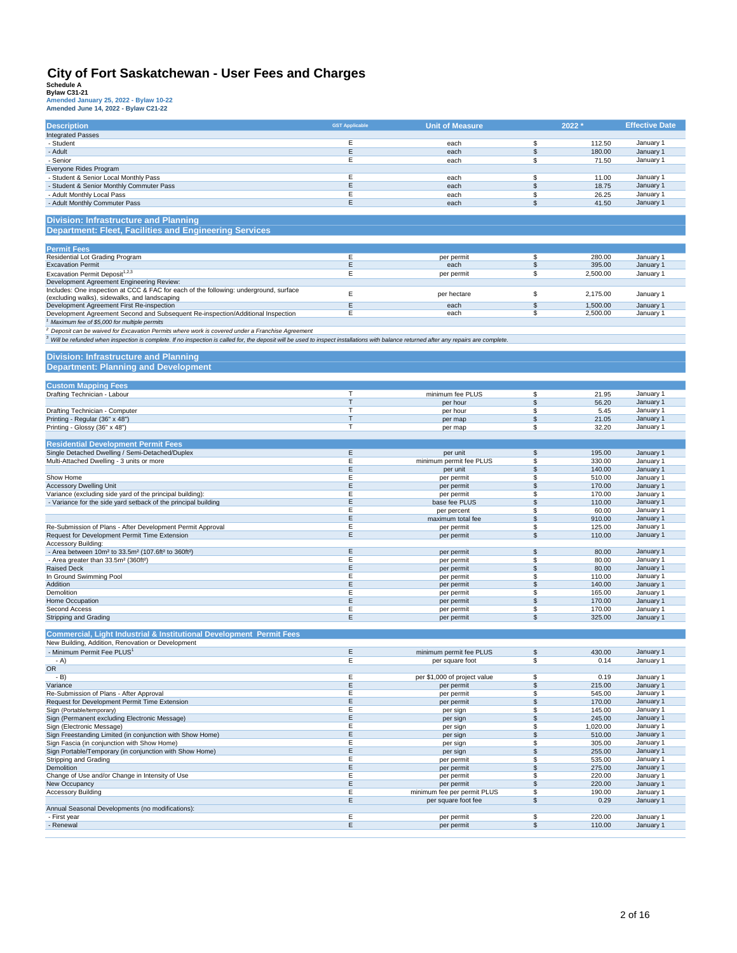| Amended June 14, 2022 - Bylaw C21-22 |  |  |  |
|--------------------------------------|--|--|--|
|                                      |  |  |  |

| <b>Description</b>                                                                                                                                                                                 | <b>GST Applicable</b> | <b>Unit of Measure</b>       |                          | 2022 *             | <b>Effective Date</b>  |
|----------------------------------------------------------------------------------------------------------------------------------------------------------------------------------------------------|-----------------------|------------------------------|--------------------------|--------------------|------------------------|
| <b>Integrated Passes</b>                                                                                                                                                                           |                       |                              |                          |                    |                        |
| - Student                                                                                                                                                                                          | E                     | each                         | \$                       | 112.50             | January 1              |
| - Adult                                                                                                                                                                                            | Е                     | each                         | \$                       | 180.00             | January 1              |
| - Senior                                                                                                                                                                                           | E                     | each                         | \$                       | 71.50              | January 1              |
| Everyone Rides Program                                                                                                                                                                             | E                     |                              |                          |                    |                        |
| - Student & Senior Local Monthly Pass                                                                                                                                                              | E                     | each<br>each                 | \$<br>\$                 | 11.00<br>18.75     | January 1<br>January 1 |
| - Student & Senior Monthly Commuter Pass<br>- Adult Monthly Local Pass                                                                                                                             | E                     | each                         | \$                       | 26.25              | January 1              |
| - Adult Monthly Commuter Pass                                                                                                                                                                      | E                     | each                         | \$                       | 41.50              | January 1              |
|                                                                                                                                                                                                    |                       |                              |                          |                    |                        |
| <b>Division: Infrastructure and Planning</b>                                                                                                                                                       |                       |                              |                          |                    |                        |
| <b>Department: Fleet, Facilities and Engineering Services</b>                                                                                                                                      |                       |                              |                          |                    |                        |
|                                                                                                                                                                                                    |                       |                              |                          |                    |                        |
| <b>Permit Fees</b>                                                                                                                                                                                 |                       |                              |                          |                    |                        |
| Residential Lot Grading Program                                                                                                                                                                    | Ε                     | per permit                   | \$                       | 280.00             | January 1              |
| <b>Excavation Permit</b>                                                                                                                                                                           | E                     | each                         | \$                       | 395.00             | January 1              |
| Excavation Permit Deposit <sup>1,2,3</sup>                                                                                                                                                         | E                     | per permit                   | \$                       | 2,500.00           | January 1              |
| Development Agreement Engineering Review:                                                                                                                                                          |                       |                              |                          |                    |                        |
| Includes: One inspection at CCC & FAC for each of the following: underground, surface<br>(excluding walks), sidewalks, and landscaping                                                             | E                     | per hectare                  | \$                       | 2,175.00           | January 1              |
| Development Agreement First Re-inspection                                                                                                                                                          | E                     | each                         | $\overline{\mathcal{L}}$ | 1,500.00           | January 1              |
| Development Agreement Second and Subsequent Re-inspection/Additional Inspection                                                                                                                    | Ε                     | each                         | \$                       | 2,500.00           | January 1              |
| Maximum fee of \$5,000 for multiple permits                                                                                                                                                        |                       |                              |                          |                    |                        |
| Deposit can be waived for Excavation Permits where work is covered under a Franchise Agreement                                                                                                     |                       |                              |                          |                    |                        |
| <sup>3</sup> Will be refunded when inspection is complete. If no inspection is called for, the deposit will be used to inspect installations with balance returned after any repairs are complete. |                       |                              |                          |                    |                        |
|                                                                                                                                                                                                    |                       |                              |                          |                    |                        |
| <b>Division: Infrastructure and Planning</b>                                                                                                                                                       |                       |                              |                          |                    |                        |
| <b>Department: Planning and Development</b>                                                                                                                                                        |                       |                              |                          |                    |                        |
|                                                                                                                                                                                                    |                       |                              |                          |                    |                        |
| <b>Custom Mapping Fees</b>                                                                                                                                                                         |                       |                              |                          |                    |                        |
| Drafting Technician - Labour                                                                                                                                                                       | T                     | minimum fee PLUS             | \$                       | 21.95              | January 1              |
|                                                                                                                                                                                                    | T<br>T                | per hour                     | \$                       | 56.20              | January 1              |
| Drafting Technician - Computer<br>Printing - Regular (36" x 48")                                                                                                                                   | T                     | per hour                     | \$<br>\$                 | 5.45<br>21.05      | January 1<br>January 1 |
| Printing - Glossy (36" x 48")                                                                                                                                                                      | T                     | per map<br>per map           | \$                       | 32.20              | January 1              |
|                                                                                                                                                                                                    |                       |                              |                          |                    |                        |
| <b>Residential Development Permit Fees</b>                                                                                                                                                         |                       |                              |                          |                    |                        |
| Single Detached Dwelling / Semi-Detached/Duplex                                                                                                                                                    | E                     | per unit                     | \$                       | 195.00             | January 1              |
| Multi-Attached Dwelling - 3 units or more                                                                                                                                                          | E                     | minimum permit fee PLUS      | \$                       | 330.00             | January 1              |
|                                                                                                                                                                                                    | Ε                     | per unit                     | \$                       | 140.00             | January 1              |
| Show Home                                                                                                                                                                                          | Ε                     | per permit                   | \$                       | 510.00             | January 1              |
| <b>Accessory Dwelling Unit</b>                                                                                                                                                                     | Ε                     | per permit                   | \$                       | 170.00             | January 1              |
| Variance (excluding side yard of the principal building):                                                                                                                                          | E<br>E                | per permit                   | \$<br>\$                 | 170.00             | January 1              |
| - Variance for the side yard setback of the principal building                                                                                                                                     | E                     | base fee PLUS<br>per percent | \$                       | 110.00<br>60.00    | January 1<br>January 1 |
|                                                                                                                                                                                                    | E                     | maximum total fee            | \$                       | 910.00             | January 1              |
| Re-Submission of Plans - After Development Permit Approval                                                                                                                                         | Ε                     | per permit                   | \$                       | 125.00             | January 1              |
| Request for Development Permit Time Extension                                                                                                                                                      | E                     | per permit                   | \$                       | 110.00             | January 1              |
| <b>Accessory Building:</b>                                                                                                                                                                         |                       |                              |                          |                    |                        |
| - Area between 10m <sup>2</sup> to 33.5m <sup>2</sup> (107.6ft <sup>2</sup> to 360ft <sup>2</sup> )                                                                                                | Ε                     | per permit                   | \$                       | 80.00              | January 1              |
| - Area greater than 33.5m <sup>2</sup> (360ft <sup>2</sup> )                                                                                                                                       | Ε                     | per permit                   | \$                       | 80.00              | January 1              |
| <b>Raised Deck</b><br>In Ground Swimming Pool                                                                                                                                                      | E<br>E                | per permit                   | \$<br>\$                 | 80.00<br>110.00    | January 1<br>January 1 |
| Addition                                                                                                                                                                                           | Ε                     | per permit<br>per permit     | \$                       | 140.00             | January 1              |
| Demolition                                                                                                                                                                                         | Ε                     | per permit                   | \$                       | 165.00             | January 1              |
| Home Occupation                                                                                                                                                                                    | Ε                     | per permit                   | \$                       | 170.00             | January 1              |
| Second Access                                                                                                                                                                                      | Ε                     | per permit                   | \$                       | 170.00             | January 1              |
| Stripping and Grading                                                                                                                                                                              | Е                     | per permit                   | \$                       | 325.00             | January 1              |
|                                                                                                                                                                                                    |                       |                              |                          |                    |                        |
| <b>Commercial, Light Industrial &amp; Institutional Development Permit Fees</b>                                                                                                                    |                       |                              |                          |                    |                        |
| New Building, Addition, Renovation or Development<br>- Minimum Permit Fee PLUS1                                                                                                                    | E                     | minimum permit fee PLUS      | \$                       | 430.00             | January 1              |
| - A)                                                                                                                                                                                               |                       |                              | \$                       |                    | January 1              |
| OR                                                                                                                                                                                                 | Е                     | per square foot              |                          | 0.14               |                        |
| $-B)$                                                                                                                                                                                              | Е                     | per \$1,000 of project value | \$                       | 0.19               | January 1              |
| Variance                                                                                                                                                                                           | E                     | per permit                   | \$                       | 215.00             | January 1              |
| Re-Submission of Plans - After Approval                                                                                                                                                            | Е                     | per permit                   | \$                       | 545.00             | January 1              |
| Request for Development Permit Time Extension                                                                                                                                                      | Ε                     | per permit                   | \$                       | 170.00             | January 1              |
| Sign (Portable/temporary)                                                                                                                                                                          | E                     | per sign                     | \$                       | 145.00             | January 1              |
| Sign (Permanent excluding Electronic Message)<br>Sign (Electronic Message)                                                                                                                         | E<br>Ε                | per sign                     | \$<br>\$                 | 245.00<br>1,020.00 | January 1<br>January 1 |
| Sign Freestanding Limited (in conjunction with Show Home)                                                                                                                                          | Ε                     | per sign<br>per sign         | \$                       | 510.00             | January 1              |
| Sign Fascia (in conjunction with Show Home)                                                                                                                                                        | E                     | per sign                     | \$                       | 305.00             | January 1              |
| Sign Portable/Temporary (in conjunction with Show Home)                                                                                                                                            | Е                     | per sign                     | \$                       | 255.00             | January 1              |
| Stripping and Grading                                                                                                                                                                              | Ε                     | per permit                   | \$                       | 535.00             | January 1              |
| Demolition                                                                                                                                                                                         | Ε                     | per permit                   | \$                       | 275.00             | January 1              |
| Change of Use and/or Change in Intensity of Use                                                                                                                                                    | E                     | per permit                   | \$                       | 220.00             | January 1              |
| New Occupancy                                                                                                                                                                                      | E                     | per permit                   | \$                       | 220.00             | January 1              |
| <b>Accessory Building</b>                                                                                                                                                                          | Е<br>E                | minimum fee per permit PLUS  | \$                       | 190.00             | January 1              |
| Annual Seasonal Developments (no modifications):                                                                                                                                                   |                       | per square foot fee          | \$                       | 0.29               | January 1              |
| - First year                                                                                                                                                                                       | Ε                     | per permit                   | \$                       | 220.00             | January 1              |
| - Renewal                                                                                                                                                                                          | E                     | per permit                   | \$                       | 110.00             | January 1              |
|                                                                                                                                                                                                    |                       |                              |                          |                    |                        |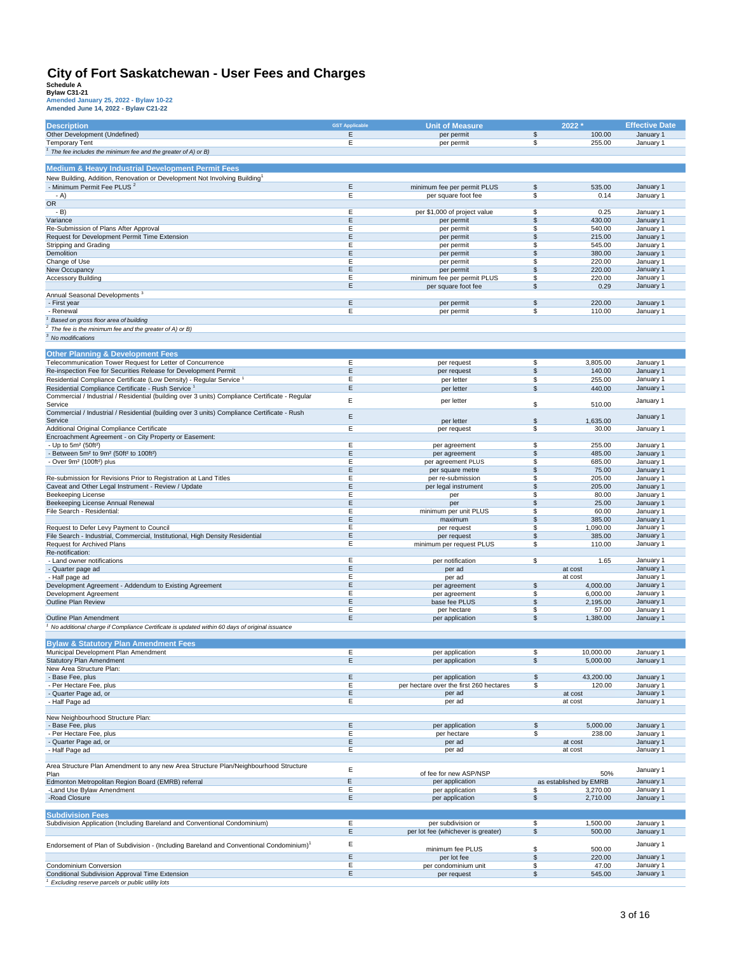| <b>Description</b>                                                                                     | <b>GST Applicable</b> | <b>Unit of Measure</b>                    |                 | $2022 *$                      | <b>Effective Date</b>  |
|--------------------------------------------------------------------------------------------------------|-----------------------|-------------------------------------------|-----------------|-------------------------------|------------------------|
| Other Development (Undefined)                                                                          | $\mathsf E$<br>Ε      | per permit                                | \$              | 100.00                        | January 1              |
| <b>Temporary Tent</b>                                                                                  |                       | per permit                                | \$              | 255.00                        | January 1              |
| <sup>1</sup> The fee includes the minimum fee and the greater of A) or B)                              |                       |                                           |                 |                               |                        |
| <b>Medium &amp; Heavy Industrial Development Permit Fees</b>                                           |                       |                                           |                 |                               |                        |
| New Building, Addition, Renovation or Development Not Involving Building <sup>1</sup>                  |                       |                                           |                 |                               |                        |
| - Minimum Permit Fee PLUS <sup>2</sup>                                                                 | Ε                     | minimum fee per permit PLUS               | \$              | 535.00                        | January 1              |
| - A)                                                                                                   | E                     | per square foot fee                       | \$              | 0.14                          | January 1              |
| OR                                                                                                     |                       |                                           |                 |                               |                        |
| - B)                                                                                                   | Е                     | per \$1,000 of project value              | \$              | 0.25                          | January 1              |
| Variance<br>Re-Submission of Plans After Approval                                                      | Ε<br>E                | per permit<br>per permit                  | \$<br>\$        | 430.00<br>540.00              | January 1<br>January 1 |
| Request for Development Permit Time Extension                                                          | E                     | per permit                                | \$              | 215.00                        | January 1              |
| Stripping and Grading                                                                                  | Ε                     | per permit                                | \$              | 545.00                        | January 1              |
| Demolition                                                                                             | Ε                     | per permit                                | S               | 380.00                        | January 1              |
| Change of Use                                                                                          | E                     | per permit                                | \$              | 220.00                        | January 1              |
| New Occupancy<br><b>Accessory Building</b>                                                             | $\mathsf E$<br>Ε      | per permit<br>minimum fee per permit PLUS | \$<br>\$        | 220.00<br>220.00              | January 1<br>January 1 |
|                                                                                                        | $\mathsf E$           | per square foot fee                       | \$              | 0.29                          | January 1              |
| Annual Seasonal Developments <sup>3</sup>                                                              |                       |                                           |                 |                               |                        |
| - First year                                                                                           | Ε                     | per permit                                | \$              | 220.00                        | January 1              |
| Renewal                                                                                                | E                     | per permit                                | \$              | 110.00                        | January 1              |
| Based on gross floor area of building                                                                  |                       |                                           |                 |                               |                        |
| The fee is the minimum fee and the greater of A) or B)                                                 |                       |                                           |                 |                               |                        |
| <sup>3</sup> No modifications                                                                          |                       |                                           |                 |                               |                        |
| <b>Other Planning &amp; Development Fees</b>                                                           |                       |                                           |                 |                               |                        |
| Telecommunication Tower Request for Letter of Concurrence                                              | E                     | per request                               | $\overline{\$}$ | 3.805.00                      | January 1              |
| Re-inspection Fee for Securities Release for Development Permit                                        | $\mathsf E$           | per request                               | \$              | 140.00                        | January 1              |
| Residential Compliance Certificate (Low Density) - Regular Service <sup>1</sup>                        | Ε                     | per letter                                | \$              | 255.00                        | January 1              |
| Residential Compliance Certificate - Rush Service <sup>1</sup>                                         | Ε                     | per letter                                | \$              | 440.00                        | January 1              |
| Commercial / Industrial / Residential (building over 3 units) Compliance Certificate - Regular         | E                     | per letter                                |                 |                               | January 1              |
| Service<br>Commercial / Industrial / Residential (building over 3 units) Compliance Certificate - Rush |                       |                                           | \$              | 510.00                        |                        |
| Service                                                                                                | $\mathsf E$           | per letter                                | \$              | 1,635.00                      | January 1              |
| Additional Original Compliance Certificate                                                             | E                     | per request                               | \$              | 30.00                         | January 1              |
| Encroachment Agreement - on City Property or Easement:                                                 |                       |                                           |                 |                               |                        |
| - Up to 5m <sup>2</sup> (50ft <sup>2</sup> )                                                           | E                     | per agreement                             | \$              | 255.00                        | January 1              |
| - Between 5m <sup>2</sup> to 9m <sup>2</sup> (50ft <sup>2</sup> to 100ft <sup>2</sup> )                | Ε<br>Ε                | per agreement<br>per agreement PLUS       | \$              | 485.00                        | January 1<br>January 1 |
| - Over 9m <sup>2</sup> (100ft <sup>2</sup> ) plus                                                      | E                     | per square metre                          | \$<br>S         | 685.00<br>75.00               | January 1              |
| Re-submission for Revisions Prior to Registration at Land Titles                                       | E                     | per re-submission                         | \$              | 205.00                        | January 1              |
| Caveat and Other Legal Instrument - Review / Update                                                    | Ε                     | per legal instrument                      | $\mathsf{\$}$   | 205.00                        | January 1              |
| Beekeeping License                                                                                     | E                     | per                                       | \$              | 80.00                         | January 1              |
| Beekeeping License Annual Renewal                                                                      | $\mathsf E$           | per                                       | \$              | 25.00                         | January 1              |
| File Search - Residential:                                                                             | E<br>Ε                | minimum per unit PLUS<br>maximum          | \$<br>\$        | 60.00<br>385.00               | January 1<br>January 1 |
| Request to Defer Levy Payment to Council                                                               | Ε                     | per request                               | \$              | 1,090.00                      | January 1              |
| File Search - Industrial, Commercial, Institutional, High Density Residential                          | Ε                     | per request                               | \$              | 385.00                        | January 1              |
| Request for Archived Plans                                                                             | Ε                     | minimum per request PLUS                  | \$              | 110.00                        | January 1              |
| Re-notification:                                                                                       |                       |                                           |                 |                               |                        |
| - Land owner notifications                                                                             | E<br>Ε                | per notification                          | \$              | 1.65                          | January 1<br>January 1 |
| - Quarter page ad<br>- Half page ad                                                                    | Ε                     | per ad<br>per ad                          |                 | at cost<br>at cost            | January 1              |
| Development Agreement - Addendum to Existing Agreement                                                 | Ε                     | per agreement                             | \$              | 4,000.00                      | January 1              |
| Development Agreement                                                                                  | E                     | per agreement                             | \$              | 6,000.00                      | January 1              |
| <b>Outline Plan Review</b>                                                                             | Ε                     | base fee PLUS                             | \$              | 2,195.00                      | January 1              |
|                                                                                                        | Ε                     | per hectare                               | \$              | 57.00                         | January 1              |
| Outline Plan Amendment                                                                                 | Ε                     | per application                           | \$              | 1,380.00                      | January 1              |
| No additional charge if Compliance Certificate is updated within 60 days of original issuance $\,$     |                       |                                           |                 |                               |                        |
| <b>Bylaw &amp; Statutory Plan Amendment Fees</b>                                                       |                       |                                           |                 |                               |                        |
| Municipal Development Plan Amendment                                                                   | E                     | per application                           | \$              | 10,000.00                     | January 1              |
| <b>Statutory Plan Amendment</b>                                                                        | Ε                     | per application                           | \$              | 5,000.00                      | January 1              |
| New Area Structure Plan:                                                                               | E                     | per application                           |                 |                               | January 1              |
| - Base Fee, plus<br>Per Hectare Fee, plus                                                              | Ε                     | per hectare over the first 260 hectares   | \$<br>\$        | 43,200.00<br>120.00           | January 1              |
| - Quarter Page ad, or                                                                                  | Ε                     | per ad                                    |                 | at cost                       | January 1              |
| - Half Page ad                                                                                         | Ε                     | per ad                                    |                 | at cost                       | January 1              |
|                                                                                                        |                       |                                           |                 |                               |                        |
| New Neighbourhood Structure Plan:                                                                      |                       |                                           |                 |                               |                        |
| - Base Fee, plus<br>- Per Hectare Fee, plus                                                            | E<br>E                | per application<br>per hectare            | \$<br>\$        | 5,000.00<br>238.00            | January 1<br>January 1 |
| - Quarter Page ad, or                                                                                  | Ε                     | per ad                                    |                 | at cost                       | January 1              |
| - Half Page ad                                                                                         | Ε                     | per ad                                    |                 | at cost                       | January 1              |
|                                                                                                        |                       |                                           |                 |                               |                        |
| Area Structure Plan Amendment to any new Area Structure Plan/Neighbourhood Structure                   | E                     |                                           |                 |                               | January 1              |
| Plan<br>Edmonton Metropolitan Region Board (EMRB) referral                                             | E                     | of fee for new ASP/NSP<br>per application |                 | 50%<br>as established by EMRB | January 1              |
| -Land Use Bylaw Amendment                                                                              | Ε                     | per application                           | \$              | 3,270.00                      | January 1              |
| -Road Closure                                                                                          | Ε                     | per application                           | \$              | 2,710.00                      | January 1              |
|                                                                                                        |                       |                                           |                 |                               |                        |
| <b>Subdivision Fees</b><br>Subdivision Application (Including Bareland and Conventional Condominium)   | Ε                     | per subdivision or                        | \$              | 1,500.00                      | January 1              |
|                                                                                                        | Ε                     | per lot fee (whichever is greater)        | \$              | 500.00                        | January 1              |
|                                                                                                        |                       |                                           |                 |                               |                        |
| Endorsement of Plan of Subdivision - (Including Bareland and Conventional Condominium) <sup>1</sup>    | E                     | minimum fee PLUS                          | \$              | 500.00                        | January 1              |
|                                                                                                        | E                     | per lot fee                               | \$              | 220.00                        | January 1              |
| Condominium Conversion                                                                                 | Ε<br>Ε                | per condominium unit                      | \$              | 47.00                         | January 1              |
| Conditional Subdivision Approval Time Extension<br>Excluding reserve parcels or public utility lots    |                       | per request                               | \$              | 545.00                        | January 1              |
|                                                                                                        |                       |                                           |                 |                               |                        |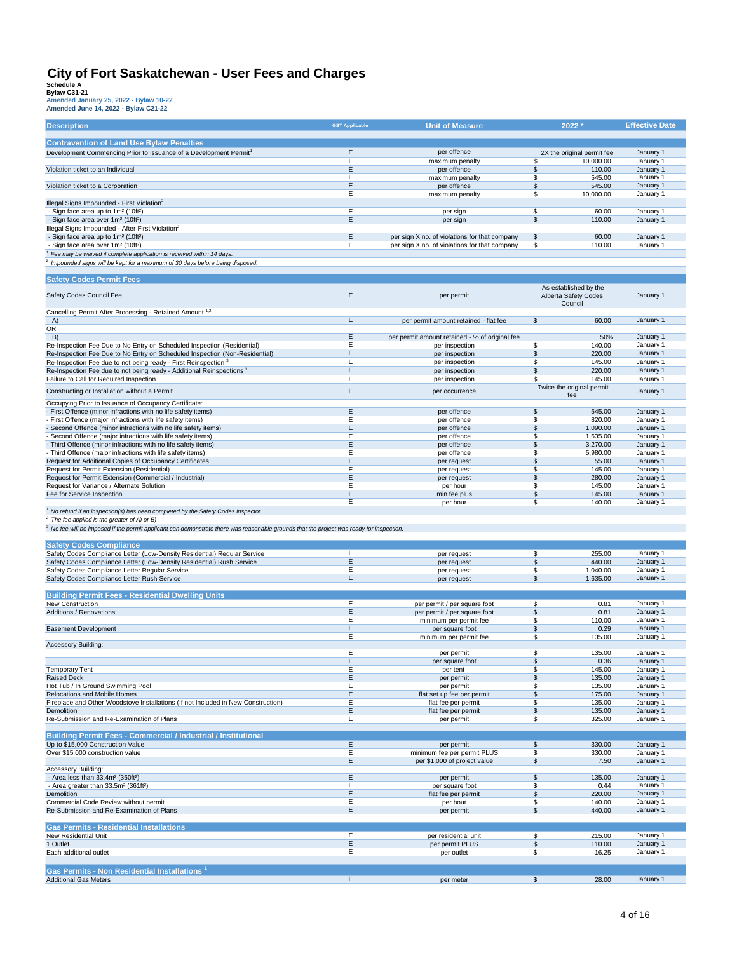| <b>Description</b>                                                                                                                                                                                                                                                                           | <b>GST Applicable</b> | <b>Unit of Measure</b>                                       | 2022*                                         | <b>Effective Date</b>  |
|----------------------------------------------------------------------------------------------------------------------------------------------------------------------------------------------------------------------------------------------------------------------------------------------|-----------------------|--------------------------------------------------------------|-----------------------------------------------|------------------------|
| <b>Contravention of Land Use Bylaw Penalties</b>                                                                                                                                                                                                                                             |                       |                                                              |                                               |                        |
| Development Commencing Prior to Issuance of a Development Permit <sup>1</sup>                                                                                                                                                                                                                | E                     | per offence                                                  | 2X the original permit fee                    | January 1              |
|                                                                                                                                                                                                                                                                                              | Ε                     | maximum penalty                                              | \$<br>10,000.00                               | January 1              |
| Violation ticket to an Individual                                                                                                                                                                                                                                                            | E                     | per offence                                                  | \$<br>110.00                                  | January 1              |
|                                                                                                                                                                                                                                                                                              | E                     | maximum penalty                                              | \$<br>545.00                                  | January 1              |
| Violation ticket to a Corporation                                                                                                                                                                                                                                                            | Ε                     | per offence                                                  | \$<br>545.00                                  | January 1              |
|                                                                                                                                                                                                                                                                                              | Ε                     | maximum penalty                                              | 10,000.00<br>\$                               | January 1              |
| Illegal Signs Impounded - First Violation <sup>2</sup>                                                                                                                                                                                                                                       |                       |                                                              |                                               |                        |
| - Sign face area up to 1m <sup>2</sup> (10ft <sup>2</sup> )                                                                                                                                                                                                                                  | Ε                     | per sign                                                     | \$<br>60.00                                   | January 1              |
| - Sign face area over 1m <sup>2</sup> (10ft <sup>2</sup> )                                                                                                                                                                                                                                   | E                     | per sign                                                     | $\mathfrak s$<br>110.00                       | January 1              |
| Illegal Signs Impounded - After First Violation <sup>2</sup><br>- Sign face area up to 1m <sup>2</sup> (10ft <sup>2</sup> )                                                                                                                                                                  | E                     | per sign X no. of violations for that company                | \$<br>60.00                                   | January 1              |
| - Sign face area over 1m <sup>2</sup> (10ft <sup>2</sup> )                                                                                                                                                                                                                                   | E                     | per sign X no. of violations for that company                | \$<br>110.00                                  | January 1              |
| Fee may be waived if complete application is received within 14 days.                                                                                                                                                                                                                        |                       |                                                              |                                               |                        |
| Impounded signs will be kept for a maximum of 30 days before being disposed.                                                                                                                                                                                                                 |                       |                                                              |                                               |                        |
|                                                                                                                                                                                                                                                                                              |                       |                                                              |                                               |                        |
| <b>Safety Codes Permit Fees</b>                                                                                                                                                                                                                                                              |                       |                                                              |                                               |                        |
| Safety Codes Council Fee                                                                                                                                                                                                                                                                     | E                     | per permit                                                   | As established by the<br>Alberta Safety Codes | January 1              |
|                                                                                                                                                                                                                                                                                              |                       |                                                              | Council                                       |                        |
| Cancelling Permit After Processing - Retained Amount 1,2                                                                                                                                                                                                                                     |                       |                                                              |                                               |                        |
| A)                                                                                                                                                                                                                                                                                           | Ε                     | per permit amount retained - flat fee                        | \$<br>60.00                                   | January 1              |
| <b>OR</b>                                                                                                                                                                                                                                                                                    |                       |                                                              |                                               |                        |
| B)                                                                                                                                                                                                                                                                                           | Ε                     | per permit amount retained - % of original fee               | 50%                                           | January 1              |
| Re-Inspection Fee Due to No Entry on Scheduled Inspection (Residential)                                                                                                                                                                                                                      | E                     | per inspection                                               | \$<br>140.00                                  | January 1              |
| Re-Inspection Fee Due to No Entry on Scheduled Inspection (Non-Residential)                                                                                                                                                                                                                  | E                     | per inspection                                               | \$<br>220.00                                  | January 1              |
| Re-Inspection Fee due to not being ready - First Reinspection 3                                                                                                                                                                                                                              | Ε                     | per inspection                                               | 145.00<br>\$                                  | January 1              |
| Re-Inspection Fee due to not being ready - Additional Reinspections <sup>3</sup>                                                                                                                                                                                                             | E                     | per inspection                                               | \$<br>220.00                                  | January 1              |
| Failure to Call for Required Inspection                                                                                                                                                                                                                                                      | E                     | per inspection                                               | \$<br>145.00                                  | January 1              |
| Constructing or Installation without a Permit                                                                                                                                                                                                                                                | E                     | per occurrence                                               | Twice the original permit<br>fee              | January 1              |
| Occupying Prior to Issuance of Occupancy Certificate:                                                                                                                                                                                                                                        |                       |                                                              |                                               |                        |
| - First Offence (minor infractions with no life safety items)                                                                                                                                                                                                                                | Ε                     | per offence                                                  | \$<br>545.00                                  | January 1              |
| - First Offence (major infractions with life safety items)                                                                                                                                                                                                                                   | Е                     | per offence                                                  | 820.00<br>\$                                  | January 1              |
| - Second Offence (minor infractions with no life safety items)                                                                                                                                                                                                                               | E                     | per offence                                                  | \$<br>1.090.00                                | January 1              |
| - Second Offence (major infractions with life safety items)                                                                                                                                                                                                                                  | E                     | per offence                                                  | \$<br>1,635.00                                | January 1              |
| - Third Offence (minor infractions with no life safety items)                                                                                                                                                                                                                                | E                     | per offence                                                  | \$<br>3,270.00                                | January 1              |
| - Third Offence (major infractions with life safety items)                                                                                                                                                                                                                                   | E                     | per offence                                                  | 5,980.00<br>\$                                | January 1              |
| Request for Additional Copies of Occupancy Certificates                                                                                                                                                                                                                                      | Ε                     | per request                                                  | \$<br>55.00                                   | January 1              |
| Request for Permit Extension (Residential)                                                                                                                                                                                                                                                   | E                     | per request                                                  | \$<br>145.00                                  | January 1              |
| Request for Permit Extension (Commercial / Industrial)                                                                                                                                                                                                                                       | Ε                     | per request                                                  | 280.00<br>\$                                  | January 1              |
| Request for Variance / Alternate Solution                                                                                                                                                                                                                                                    | Ε                     | per hour                                                     | \$<br>145.00                                  | January 1              |
| Fee for Service Inspection                                                                                                                                                                                                                                                                   | E<br>E                | min fee plus<br>per hour                                     | \$<br>145.00<br>\$<br>140.00                  | January 1<br>January 1 |
| <sup>1</sup> No refund if an inspection(s) has been completed by the Safety Codes Inspector.<br>$2$ The fee applied is the greater of A) or B)<br>$3$ No fee will be imposed if the permit applicant can demonstrate there was reasonable grounds that the project was ready for inspection. |                       |                                                              |                                               |                        |
| <b>Safety Codes Compliance</b>                                                                                                                                                                                                                                                               |                       |                                                              |                                               |                        |
| Safety Codes Compliance Letter (Low-Density Residential) Regular Service                                                                                                                                                                                                                     | Е                     | per request                                                  | \$<br>255.00                                  | January 1              |
| Safety Codes Compliance Letter (Low-Density Residential) Rush Service                                                                                                                                                                                                                        | E                     | per request                                                  | \$<br>440.00                                  | January 1              |
| Safety Codes Compliance Letter Regular Service                                                                                                                                                                                                                                               | Е                     | per request                                                  | \$<br>1,040.00                                | January 1              |
| Safety Codes Compliance Letter Rush Service                                                                                                                                                                                                                                                  | E                     | per request                                                  | \$<br>1,635.00                                | January 1              |
|                                                                                                                                                                                                                                                                                              |                       |                                                              |                                               |                        |
| <b>Building Permit Fees - Residential Dwelling Units</b><br>New Construction                                                                                                                                                                                                                 | E                     |                                                              |                                               |                        |
| Additions / Renovations                                                                                                                                                                                                                                                                      | Ε                     | per permit / per square foot<br>per permit / per square foot | \$<br>0.81<br>$\mathbb{S}$<br>0.81            | January 1<br>January 1 |
|                                                                                                                                                                                                                                                                                              | Е                     | minimum per permit fee                                       | 110.00<br>\$                                  | January 1              |
| <b>Basement Development</b>                                                                                                                                                                                                                                                                  | E                     | per square foot                                              | \$<br>0.29                                    | January 1              |
|                                                                                                                                                                                                                                                                                              | E                     | minimum per permit fee                                       | \$<br>135.00                                  | January 1              |
| <b>Accessory Building:</b>                                                                                                                                                                                                                                                                   |                       |                                                              |                                               |                        |
|                                                                                                                                                                                                                                                                                              | E                     | per permit                                                   | \$<br>135.00                                  | January 1              |
|                                                                                                                                                                                                                                                                                              | Ε                     | per square foot                                              | \$<br>0.36                                    | January 1              |
| <b>Temporary Tent</b><br><b>Raised Deck</b>                                                                                                                                                                                                                                                  | Ε<br>E                | per tent                                                     | \$<br>145.00                                  | January 1              |
|                                                                                                                                                                                                                                                                                              | Ε                     | per permit                                                   | \$<br>135.00                                  | January 1<br>January 1 |
| Hot Tub / In Ground Swimming Pool<br>Relocations and Mobile Homes                                                                                                                                                                                                                            | Ε                     | per permit<br>flat set up fee per permit                     | \$<br>135.00<br>\$<br>175.00                  | January 1              |
| Fireplace and Other Woodstove Installations (If not Included in New Construction)                                                                                                                                                                                                            | Ε                     | flat fee per permit                                          | \$<br>135.00                                  | January 1              |
| Demolition                                                                                                                                                                                                                                                                                   | Ε                     | flat fee per permit                                          | \$<br>135.00                                  | January 1              |
| Re-Submission and Re-Examination of Plans                                                                                                                                                                                                                                                    | Е                     | per permit                                                   | \$<br>325.00                                  | January 1              |
|                                                                                                                                                                                                                                                                                              |                       |                                                              |                                               |                        |
| <b>Building Permit Fees - Commercial / Industrial / Institutional</b>                                                                                                                                                                                                                        |                       |                                                              |                                               |                        |
| Up to \$15,000 Construction Value                                                                                                                                                                                                                                                            | E                     | per permit                                                   | $\sqrt{2}$<br>330.00                          | January 1              |
| Over \$15,000 construction value                                                                                                                                                                                                                                                             | Ε<br>Ε                | minimum fee per permit PLUS<br>per \$1,000 of project value  | \$<br>330.00                                  | January 1<br>January 1 |
| Accessory Building:                                                                                                                                                                                                                                                                          |                       |                                                              | \$<br>7.50                                    |                        |
| - Area less than 33.4m <sup>2</sup> (360ft <sup>2</sup> )                                                                                                                                                                                                                                    | Ε                     | per permit                                                   | \$<br>135.00                                  | January 1              |
| - Area greater than 33.5m <sup>2</sup> (361ft <sup>2</sup> )                                                                                                                                                                                                                                 | E                     | per square foot                                              | \$<br>0.44                                    | January 1              |
| Demolition                                                                                                                                                                                                                                                                                   | Ε                     | flat fee per permit                                          | \$<br>220.00                                  | January 1              |
| Commercial Code Review without permit                                                                                                                                                                                                                                                        | Е                     | per hour                                                     | \$<br>140.00                                  | January 1              |
| Re-Submission and Re-Examination of Plans                                                                                                                                                                                                                                                    | Ε                     | per permit                                                   | $\mathfrak s$<br>440.00                       | January 1              |
|                                                                                                                                                                                                                                                                                              |                       |                                                              |                                               |                        |
| <b>Gas Permits - Residential Installations</b>                                                                                                                                                                                                                                               |                       |                                                              |                                               |                        |
| New Residential Unit                                                                                                                                                                                                                                                                         | Ε                     | per residential unit                                         | \$<br>215.00                                  | January 1              |
| 1 Outlet<br>Each additional outlet                                                                                                                                                                                                                                                           | Ε<br>Е                | per permit PLUS<br>per outlet                                | $$\mathbb{S}$$<br>110.00<br>\$<br>16.25       | January 1<br>January 1 |
|                                                                                                                                                                                                                                                                                              |                       |                                                              |                                               |                        |
| Gas Permits - Non Residential Installations <sup>1</sup>                                                                                                                                                                                                                                     |                       |                                                              |                                               |                        |
| <b>Additional Gas Meters</b>                                                                                                                                                                                                                                                                 | E                     | per meter                                                    | $\overline{\mathcal{S}}$<br>28.00             | January 1              |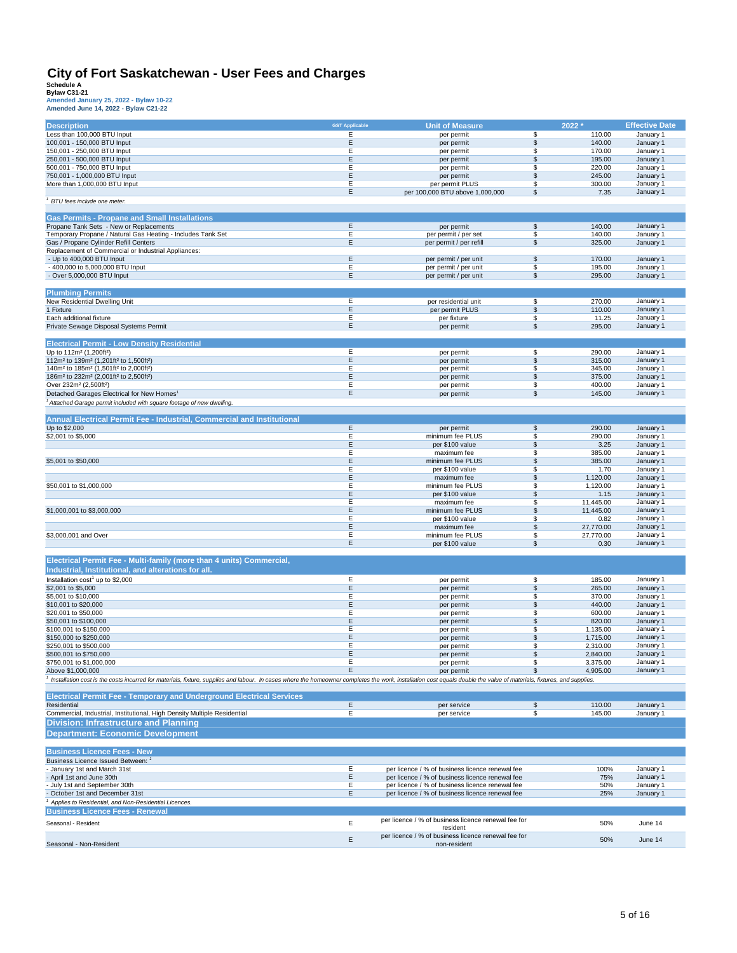| <b>Description</b>                                                                                                                                                                                                      | <b>GST Applicable</b> | <b>Unit of Measure</b>                              | 2022 *                             | <b>Effective Date</b>  |
|-------------------------------------------------------------------------------------------------------------------------------------------------------------------------------------------------------------------------|-----------------------|-----------------------------------------------------|------------------------------------|------------------------|
| Less than 100,000 BTU Input                                                                                                                                                                                             | E                     | per permit                                          | \$<br>110.00                       | January 1              |
| 100,001 - 150,000 BTU Input                                                                                                                                                                                             | Ε                     | per permit                                          | \$<br>140.00                       | January 1              |
| 150,001 - 250,000 BTU Input                                                                                                                                                                                             | Ε                     | per permit                                          | 170.00<br>\$                       | January 1              |
| 250,001 - 500,000 BTU Input                                                                                                                                                                                             | Ε                     | per permit                                          | \$<br>195.00                       | January 1              |
| 500,001 - 750,000 BTU Input                                                                                                                                                                                             | Ε                     | per permit                                          | \$<br>220.00                       | January 1              |
| 750,001 - 1,000,000 BTU Input                                                                                                                                                                                           | Ε                     | per permit                                          | \$<br>245.00                       | January 1              |
| More than 1,000,000 BTU Input                                                                                                                                                                                           | E                     | per permit PLUS                                     | \$<br>300.00                       | January 1              |
|                                                                                                                                                                                                                         | Ε                     | per 100,000 BTU above 1,000,000                     | \$<br>7.35                         | January 1              |
|                                                                                                                                                                                                                         |                       |                                                     |                                    |                        |
| BTU fees include one meter.                                                                                                                                                                                             |                       |                                                     |                                    |                        |
|                                                                                                                                                                                                                         |                       |                                                     |                                    |                        |
| <b>Gas Permits - Propane and Small Installations</b>                                                                                                                                                                    |                       |                                                     |                                    |                        |
| Propane Tank Sets - New or Replacements                                                                                                                                                                                 | E                     | per permit                                          | \$<br>140.00                       | January 1              |
| Temporary Propane / Natural Gas Heating - Includes Tank Set                                                                                                                                                             | Ε                     | per permit / per set                                | \$<br>140.00                       | January 1              |
| Gas / Propane Cylinder Refill Centers                                                                                                                                                                                   | Ε                     | per permit / per refill                             | \$<br>325.00                       | January 1              |
| Replacement of Commercial or Industrial Appliances:                                                                                                                                                                     |                       |                                                     |                                    |                        |
| - Up to 400,000 BTU Input                                                                                                                                                                                               | Ε                     | per permit / per unit                               | \$<br>170.00                       | January 1              |
| - 400,000 to 5,000,000 BTU Input                                                                                                                                                                                        | Ε                     | per permit / per unit                               | \$<br>195.00                       | January 1              |
| - Over 5,000,000 BTU Input                                                                                                                                                                                              | Ε                     | per permit / per unit                               | \$<br>295.00                       | January 1              |
|                                                                                                                                                                                                                         |                       |                                                     |                                    |                        |
|                                                                                                                                                                                                                         |                       |                                                     |                                    |                        |
| <b>Plumbing Permits</b>                                                                                                                                                                                                 |                       |                                                     |                                    |                        |
| New Residential Dwelling Unit                                                                                                                                                                                           | E                     | per residential unit                                | \$<br>270.00                       | January 1              |
| 1 Fixture                                                                                                                                                                                                               | Ε                     | per permit PLUS                                     | \$<br>110.00                       | January 1              |
| Each additional fixture                                                                                                                                                                                                 | Ε                     | per fixture                                         | \$<br>11.25                        | January 1              |
| Private Sewage Disposal Systems Permit                                                                                                                                                                                  | Ε                     | per permit                                          | \$<br>295.00                       | January 1              |
|                                                                                                                                                                                                                         |                       |                                                     |                                    |                        |
| <b>Electrical Permit - Low Density Residential</b>                                                                                                                                                                      |                       |                                                     |                                    |                        |
| Up to 112m <sup>2</sup> (1.200ft <sup>2</sup> )                                                                                                                                                                         | E                     | per permit                                          | \$<br>290.00                       | January 1              |
| 112m <sup>2</sup> to 139m <sup>2</sup> (1,201ft <sup>2</sup> to 1,500ft <sup>2</sup> )                                                                                                                                  | Ε                     | per permit                                          | \$<br>315.00                       | January 1              |
| 140m <sup>2</sup> to 185m <sup>2</sup> (1,501ft <sup>2</sup> to 2,000ft <sup>2</sup> )                                                                                                                                  | E                     |                                                     | 345.00<br>\$                       | January 1              |
|                                                                                                                                                                                                                         |                       | per permit                                          |                                    |                        |
| 186m <sup>2</sup> to 232m <sup>2</sup> (2,001ft <sup>2</sup> to 2,500ft <sup>2</sup> )                                                                                                                                  | Ε                     | per permit                                          | \$<br>375.00                       | January 1              |
| Over 232m <sup>2</sup> (2,500ft <sup>2</sup> )                                                                                                                                                                          | Е                     | per permit                                          | \$<br>400.00                       | January 1              |
| Detached Garages Electrical for New Homes <sup>1</sup>                                                                                                                                                                  | E                     | per permit                                          | \$<br>145.00                       | January 1              |
| <sup>1</sup> Attached Garage permit included with square footage of new dwelling.                                                                                                                                       |                       |                                                     |                                    |                        |
|                                                                                                                                                                                                                         |                       |                                                     |                                    |                        |
| Annual Electrical Permit Fee - Industrial, Commercial and Institutional                                                                                                                                                 |                       |                                                     |                                    |                        |
| Up to \$2,000                                                                                                                                                                                                           | E                     | per permit                                          | $\overline{\mathcal{S}}$<br>290.00 | January 1              |
| \$2,001 to \$5,000                                                                                                                                                                                                      | Ε                     | minimum fee PLUS                                    | \$<br>290.00                       | January 1              |
|                                                                                                                                                                                                                         | Ε                     | per \$100 value                                     | \$<br>3.25                         | January 1              |
|                                                                                                                                                                                                                         | E                     | maximum fee                                         |                                    | January 1              |
|                                                                                                                                                                                                                         |                       |                                                     | \$<br>385.00                       |                        |
| \$5,001 to \$50,000                                                                                                                                                                                                     | Ε                     | minimum fee PLUS                                    | \$<br>385.00                       | January 1              |
|                                                                                                                                                                                                                         | Ε                     | per \$100 value                                     | \$<br>1.70                         | January 1              |
|                                                                                                                                                                                                                         | Ε                     | maximum fee                                         | \$<br>1,120.00                     | January 1              |
| \$50,001 to \$1,000,000                                                                                                                                                                                                 | E                     | minimum fee PLUS                                    | \$<br>1,120.00                     | January 1              |
|                                                                                                                                                                                                                         | E                     | per \$100 value                                     | \$<br>1.15                         | January 1              |
|                                                                                                                                                                                                                         | Е                     | maximum fee                                         | 11,445.00<br>\$                    | January 1              |
| \$1,000,001 to \$3,000,000                                                                                                                                                                                              | E                     | minimum fee PLUS                                    | \$<br>11,445.00                    | January 1              |
|                                                                                                                                                                                                                         | Е                     | per \$100 value                                     | \$<br>0.82                         | January 1              |
|                                                                                                                                                                                                                         | Ε                     | maximum fee                                         | \$<br>27,770.00                    | January 1              |
| \$3,000,001 and Over                                                                                                                                                                                                    | Е                     | minimum fee PLUS                                    | \$<br>27,770.00                    | January 1              |
|                                                                                                                                                                                                                         | E                     |                                                     | \$<br>0.30                         | January 1              |
|                                                                                                                                                                                                                         |                       | per \$100 value                                     |                                    |                        |
|                                                                                                                                                                                                                         |                       |                                                     |                                    |                        |
| Electrical Permit Fee - Multi-family (more than 4 units) Commercial,                                                                                                                                                    |                       |                                                     |                                    |                        |
| Industrial, Institutional, and alterations for all                                                                                                                                                                      |                       |                                                     |                                    |                        |
| Installation $cost1$ up to \$2,000                                                                                                                                                                                      | E                     | per permit                                          | \$<br>185.00                       | January 1              |
| \$2,001 to \$5,000                                                                                                                                                                                                      | E                     | per permit                                          | $\mathfrak{s}$<br>265.00           | January 1              |
| \$5,001 to \$10,000                                                                                                                                                                                                     | E                     | per permit                                          | \$<br>370.00                       | January 1              |
| \$10,001 to \$20,000                                                                                                                                                                                                    | Ε                     | per permit                                          | \$<br>440.00                       | January 1              |
|                                                                                                                                                                                                                         | Е                     |                                                     |                                    |                        |
| \$20,001 to \$50,000<br>\$50,001 to \$100,000                                                                                                                                                                           | Ε                     | per permit                                          | \$<br>600.00<br>\$<br>820.00       | January 1<br>January 1 |
|                                                                                                                                                                                                                         |                       | per permit                                          |                                    |                        |
| \$100,001 to \$150,000                                                                                                                                                                                                  | Ε                     | per permit                                          | \$<br>1,135.00                     | January 1              |
| \$150,000 to \$250,000                                                                                                                                                                                                  | Ε                     | per permit                                          | \$<br>1,715.00                     | January 1              |
| \$250,001 to \$500,000                                                                                                                                                                                                  | E                     | per permit                                          | \$<br>2,310.00                     | January 1              |
| \$500,001 to \$750,000                                                                                                                                                                                                  | Ε                     | per permit                                          | $\boldsymbol{\theta}$<br>2,840.00  | January 1              |
| \$750,001 to \$1,000,000                                                                                                                                                                                                | Ε                     | per permit                                          | \$<br>3,375.00                     | January 1              |
| Above \$1,000,000                                                                                                                                                                                                       | Ε                     | per permit                                          | 4,905.00<br>\$                     | January 1              |
| 1 Installation cost is the costs incurred for materials, fixture, supplies and labour. In cases where the homeowner completes the work, installation cost equals double the value of materials, fixtures, and supplies. |                       |                                                     |                                    |                        |
|                                                                                                                                                                                                                         |                       |                                                     |                                    |                        |
| <b>Electrical Permit Fee - Temporary and Underground Electrical Services</b>                                                                                                                                            |                       |                                                     |                                    |                        |
| Residential                                                                                                                                                                                                             | E                     | per service                                         | \$<br>110.00                       | January 1              |
| Commercial, Industrial, Institutional, High Density Multiple Residential                                                                                                                                                | E                     | per service                                         | \$<br>145.00                       | January 1              |
|                                                                                                                                                                                                                         |                       |                                                     |                                    |                        |
| <b>Division: Infrastructure and Planning</b>                                                                                                                                                                            |                       |                                                     |                                    |                        |
| <b>Department: Economic Development</b>                                                                                                                                                                                 |                       |                                                     |                                    |                        |
|                                                                                                                                                                                                                         |                       |                                                     |                                    |                        |
| <b>Business Licence Fees - New</b>                                                                                                                                                                                      |                       |                                                     |                                    |                        |
| Business Licence Issued Between: 1                                                                                                                                                                                      |                       |                                                     |                                    |                        |
|                                                                                                                                                                                                                         |                       |                                                     |                                    |                        |
| - January 1st and March 31st                                                                                                                                                                                            | Ε                     | per licence / % of business licence renewal fee     | 100%                               | January 1              |
| - April 1st and June 30th                                                                                                                                                                                               | Ε                     | per licence / % of business licence renewal fee     | 75%                                | January 1              |
| - July 1st and September 30th                                                                                                                                                                                           | Е                     | per licence / % of business licence renewal fee     | 50%                                | January 1              |
| - October 1st and December 31st                                                                                                                                                                                         | Ε                     | per licence / % of business licence renewal fee     | 25%                                | January 1              |
| Applies to Residential, and Non-Residential Licences.                                                                                                                                                                   |                       |                                                     |                                    |                        |
| <b>Business Licence Fees - Renewal</b>                                                                                                                                                                                  |                       |                                                     |                                    |                        |
|                                                                                                                                                                                                                         |                       | per licence / % of business licence renewal fee for |                                    |                        |
| Seasonal - Resident                                                                                                                                                                                                     | E                     | resident                                            | 50%                                | June 14                |
|                                                                                                                                                                                                                         |                       | per licence / % of business licence renewal fee for |                                    |                        |
| Seasonal - Non-Resident                                                                                                                                                                                                 | E                     | non-resident                                        | 50%                                | June 14                |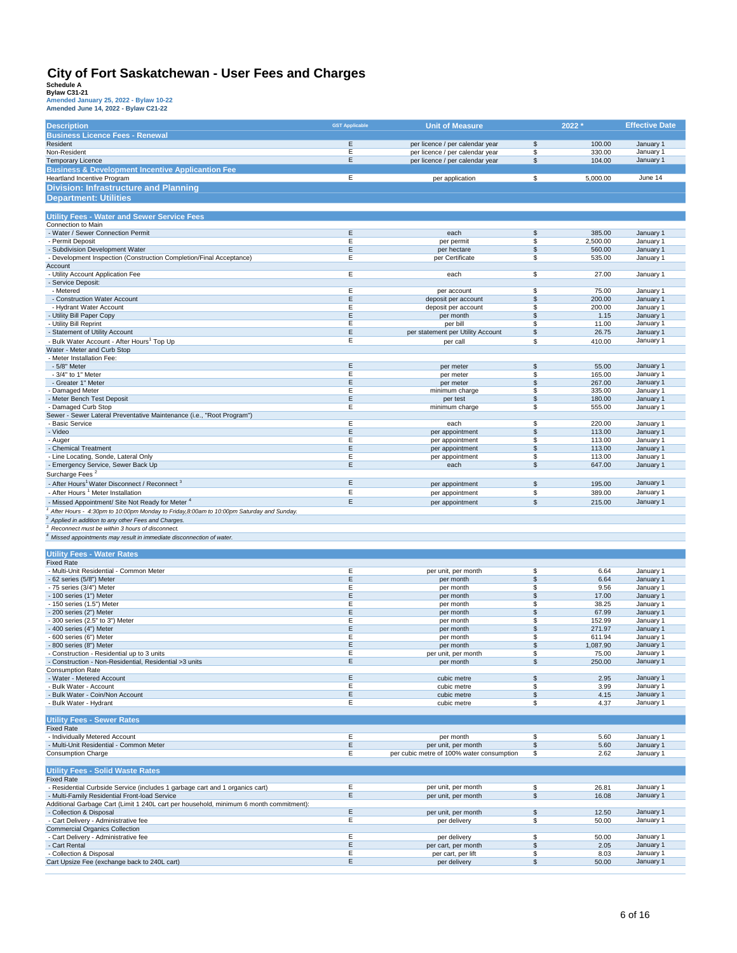| <b>Description</b>                                                                                                | <b>GST Applicable</b> | <b>Unit of Measure</b>                    | 2022 *                           | <b>Effective Date</b>  |
|-------------------------------------------------------------------------------------------------------------------|-----------------------|-------------------------------------------|----------------------------------|------------------------|
| <b>Business Licence Fees - Renewal</b>                                                                            |                       |                                           |                                  |                        |
| Resident                                                                                                          | E                     | per licence / per calendar year           | \$<br>100.00                     | January 1              |
| Non-Resident                                                                                                      | Ε                     | per licence / per calendar year           | \$<br>330.00                     | January 1              |
| <b>Temporary Licence</b>                                                                                          | Ε                     | per licence / per calendar year           | \$<br>104.00                     | January 1              |
| <b>Business &amp; Development Incentive Applicantion Fee</b>                                                      |                       |                                           |                                  |                        |
| Heartland Incentive Program                                                                                       | E                     | per application                           | \$<br>5,000.00                   | June 14                |
| <b>Division: Infrastructure and Planning</b>                                                                      |                       |                                           |                                  |                        |
| <b>Department: Utilities</b>                                                                                      |                       |                                           |                                  |                        |
|                                                                                                                   |                       |                                           |                                  |                        |
| <b>Utility Fees - Water and Sewer Service Fees</b>                                                                |                       |                                           |                                  |                        |
| Connection to Main                                                                                                |                       |                                           |                                  |                        |
| - Water / Sewer Connection Permit                                                                                 | Ε                     | each                                      | \$<br>385.00                     | January 1              |
| - Permit Deposit                                                                                                  | Е                     | per permit                                | \$<br>2,500.00                   | January 1              |
| - Subdivision Development Water                                                                                   | Ε                     | per hectare                               | \$<br>560.00                     | January 1              |
| Development Inspection (Construction Completion/Final Acceptance)                                                 | Е                     | per Certificate                           | \$<br>535.00                     | January 1              |
| Account<br>- Utility Account Application Fee                                                                      | E                     | each                                      | $\overline{\mathbb{S}}$<br>27.00 | January 1              |
| - Service Deposit:                                                                                                |                       |                                           |                                  |                        |
| - Metered                                                                                                         | E                     | per account                               | 75.00<br>\$                      | January 1              |
| - Construction Water Account                                                                                      | Ε                     | deposit per account                       | \$<br>200.00                     | January 1              |
| - Hydrant Water Account                                                                                           | Ε                     | deposit per account                       | \$<br>200.00                     | January 1              |
| - Utility Bill Paper Copy                                                                                         | Ε                     | per month                                 | \$<br>1.15                       | January 1              |
| - Utility Bill Reprint                                                                                            | E                     | per bill                                  | 11.00<br>\$                      | January 1              |
| - Statement of Utility Account                                                                                    | E                     | per statement per Utility Account         | \$<br>26.75                      | January 1              |
| - Bulk Water Account - After Hours <sup>1</sup> Top Up                                                            | E                     | per call                                  | \$<br>410.00                     | January 1              |
| Water - Meter and Curb Stop                                                                                       |                       |                                           |                                  |                        |
| - Meter Installation Fee:                                                                                         | Ε                     |                                           |                                  |                        |
| - 5/8" Meter<br>- 3/4" to 1" Meter                                                                                | E                     | per meter<br>per meter                    | \$<br>55.00<br>\$<br>165.00      | January 1<br>January 1 |
| - Greater 1" Meter                                                                                                | E                     | per meter                                 | \$<br>267.00                     | January 1              |
| Damaged Meter                                                                                                     | Е                     | minimum charge                            | \$<br>335.00                     | January 1              |
| - Meter Bench Test Deposit                                                                                        | $\mathsf E$           | per test                                  | \$<br>180.00                     | January 1              |
| - Damaged Curb Stop                                                                                               | Ε                     | minimum charge                            | \$<br>555.00                     | January 1              |
| Sewer - Sewer Lateral Preventative Maintenance (i.e., "Root Program")                                             |                       |                                           |                                  |                        |
| <b>Basic Service</b>                                                                                              | Ε                     | each                                      | \$<br>220.00                     | January 1              |
| - Video                                                                                                           | Ε                     | per appointment                           | \$<br>113.00                     | January 1              |
| - Auger                                                                                                           | E                     | per appointment                           | \$<br>113.00                     | January 1              |
| - Chemical Treatment                                                                                              | Ε                     | per appointment                           | \$<br>113.00                     | January 1              |
| - Line Locating, Sonde, Lateral Only                                                                              | Ε<br>Ε                | per appointment                           | \$<br>113.00                     | January 1              |
| - Emergency Service, Sewer Back Up                                                                                |                       | each                                      | \$<br>647.00                     | January 1              |
| Surcharge Fees <sup>2</sup>                                                                                       | Ε                     |                                           |                                  |                        |
| - After Hours <sup>1</sup> Water Disconnect / Reconnect <sup>3</sup>                                              |                       | per appointment                           | \$<br>195.00                     | January 1              |
| - After Hours <sup>1</sup> Meter Installation                                                                     | Ε                     | per appointment                           | \$<br>389.00                     | January 1              |
| - Missed Appointment/ Site Not Ready for Meter 4                                                                  | $\mathsf E$           | per appointment                           | $\mathbb{S}$<br>215.00           | January 1              |
| After Hours - 4:30pm to 10:00pm Monday to Friday,8:00am to 10:00pm Saturday and Sunday.                           |                       |                                           |                                  |                        |
| Applied in addition to any other Fees and Charges.<br>Reconnect must be within 3 hours of disconnect.             |                       |                                           |                                  |                        |
|                                                                                                                   |                       |                                           |                                  |                        |
| 4 Missed appointments may result in immediate disconnection of water.                                             |                       |                                           |                                  |                        |
| <b>Utility Fees - Water Rates</b>                                                                                 |                       |                                           |                                  |                        |
| <b>Fixed Rate</b>                                                                                                 |                       |                                           |                                  |                        |
| - Multi-Unit Residential - Common Meter                                                                           | Ε                     | per unit, per month                       | 6.64<br>\$                       | January 1              |
| - 62 series (5/8") Meter                                                                                          | $\mathsf E$           | per month                                 | $\sqrt{3}$<br>6.64               | January 1              |
| - 75 series (3/4") Meter                                                                                          | E                     | per month                                 | \$<br>9.56                       | January 1              |
| - 100 series (1") Meter                                                                                           | $\mathsf E$           | per month                                 | \$<br>17.00                      | January 1              |
| - 150 series (1.5") Meter                                                                                         | Ε                     | per month                                 | \$<br>38.25                      | January 1              |
| - 200 series (2") Meter                                                                                           | Ε<br>Е                | per month                                 | \$<br>67.99                      | January 1              |
| - 300 series (2.5" to 3") Meter<br>- 400 series (4") Meter                                                        | Ε                     | per month                                 | \$<br>152.99<br>\$<br>271.97     | January 1<br>January 1 |
| - 600 series (6") Meter                                                                                           | E                     | per month<br>per month                    | \$<br>611.94                     | January 1              |
| - 800 series (8") Meter                                                                                           | E                     | per month                                 | \$<br>1,087.90                   | January 1              |
| Construction - Residential up to 3 units                                                                          | E                     | per unit, per month                       | \$<br>75.00                      | January 1              |
| Construction - Non-Residential, Residential >3 units                                                              | Ε                     | per month                                 | \$<br>250.00                     | January 1              |
| <b>Consumption Rate</b>                                                                                           |                       |                                           |                                  |                        |
| - Water - Metered Account                                                                                         | Ε                     | cubic metre                               | \$<br>2.95                       | January 1              |
| - Bulk Water - Account                                                                                            | Е                     | cubic metre                               | 3.99<br>\$                       | January 1              |
| - Bulk Water - Coin/Non Account                                                                                   | Ε                     | cubic metre                               | \$<br>4.15                       | January 1              |
| - Bulk Water - Hydrant                                                                                            | Ε                     | cubic metre                               | \$<br>4.37                       | January 1              |
| <b>Utility Fees - Sewer Rates</b>                                                                                 |                       |                                           |                                  |                        |
| <b>Fixed Rate</b>                                                                                                 |                       |                                           |                                  |                        |
| - Individually Metered Account                                                                                    | Ε                     | per month                                 | 5.60<br>\$                       | January 1              |
| - Multi-Unit Residential - Common Meter                                                                           | Ε                     | per unit, per month                       | \$<br>5.60                       | January 1              |
| <b>Consumption Charge</b>                                                                                         | Ε                     | per cubic metre of 100% water consumption | 2.62<br>\$                       | January 1              |
|                                                                                                                   |                       |                                           |                                  |                        |
| <b>Utility Fees - Solid Waste Rates</b>                                                                           |                       |                                           |                                  |                        |
| <b>Fixed Rate</b>                                                                                                 |                       |                                           |                                  |                        |
| - Residential Curbside Service (includes 1 garbage cart and 1 organics cart)                                      | Ε                     | per unit, per month                       | 26.81<br>\$                      | January 1              |
| - Multi-Family Residential Front-load Service                                                                     | Ε                     | per unit, per month                       | \$<br>16.08                      | January 1              |
| Additional Garbage Cart (Limit 1 240L cart per household, minimum 6 month commitment):<br>- Collection & Disposal | $\mathsf E$           | per unit, per month                       | \$<br>12.50                      | January 1              |
| - Cart Delivery - Administrative fee                                                                              | Е                     | per delivery                              | \$<br>50.00                      | January 1              |
| <b>Commercial Organics Collection</b>                                                                             |                       |                                           |                                  |                        |
| - Cart Delivery - Administrative fee                                                                              | E                     | per delivery                              | \$<br>50.00                      | January 1              |
| - Cart Rental                                                                                                     | Ε                     | per cart, per month                       | \$<br>2.05                       | January 1              |
| - Collection & Disposal                                                                                           | Ε                     | per cart, per lift                        | \$<br>8.03                       | January 1              |
| Cart Upsize Fee (exchange back to 240L cart)                                                                      | Ε                     | per delivery                              | \$<br>50.00                      | January 1              |
|                                                                                                                   |                       |                                           |                                  |                        |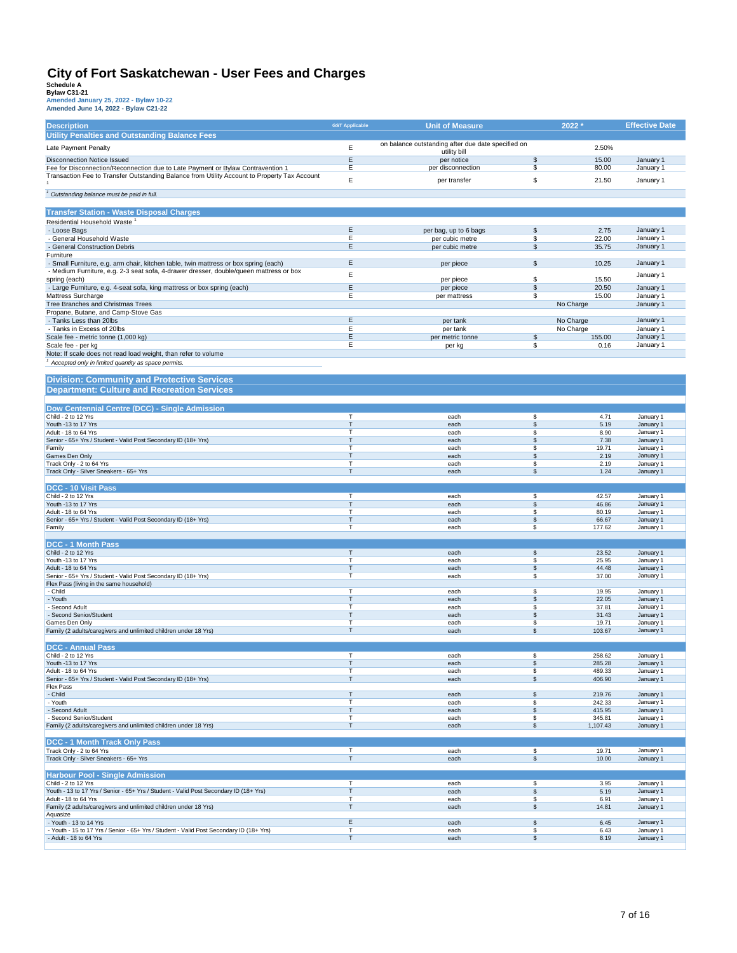| <b>Description</b>                                                                           | <b>GST Applicable</b> | <b>Unit of Measure</b>                             |          | 2022 *           | <b>Effective Date</b>  |
|----------------------------------------------------------------------------------------------|-----------------------|----------------------------------------------------|----------|------------------|------------------------|
| <b>Utility Penalties and Outstanding Balance Fees</b>                                        |                       |                                                    |          |                  |                        |
| Late Payment Penalty                                                                         | E                     | on balance outstanding after due date specified on |          | 2.50%            |                        |
|                                                                                              |                       | utility bill                                       |          |                  |                        |
| <b>Disconnection Notice Issued</b>                                                           | $\mathsf E$           | per notice                                         | \$       | 15.00            | January 1              |
| Fee for Disconnection/Reconnection due to Late Payment or Bylaw Contravention 1              | Ε                     | per disconnection                                  | \$       | 80.00            | January 1              |
| Transaction Fee to Transfer Outstanding Balance from Utility Account to Property Tax Account | E                     | per transfer                                       | \$       | 21.50            | January 1              |
|                                                                                              |                       |                                                    |          |                  |                        |
| <sup>1</sup> Outstanding balance must be paid in full.                                       |                       |                                                    |          |                  |                        |
|                                                                                              |                       |                                                    |          |                  |                        |
| <b>Transfer Station - Waste Disposal Charges</b>                                             |                       |                                                    |          |                  |                        |
|                                                                                              |                       |                                                    |          |                  |                        |
| Residential Household Waste <sup>1</sup>                                                     | Ε                     |                                                    |          |                  |                        |
| - Loose Bags                                                                                 | Ε                     | per bag, up to 6 bags                              | \$       | 2.75             | January 1              |
| - General Household Waste<br>- General Construction Debris                                   | $\mathsf E$           | per cubic metre                                    | \$<br>\$ | 22.00<br>35.75   | January 1              |
|                                                                                              |                       | per cubic metre                                    |          |                  | January 1              |
| Furniture                                                                                    | Ε                     |                                                    |          |                  | January 1              |
| - Small Furniture, e.g. arm chair, kitchen table, twin mattress or box spring (each)         |                       | per piece                                          | \$       | 10.25            |                        |
| - Medium Furniture, e.g. 2-3 seat sofa, 4-drawer dresser, double/queen mattress or box       | E                     |                                                    |          |                  | January 1              |
| spring (each)                                                                                | Ε                     | per piece                                          | \$       | 15.50            |                        |
| - Large Furniture, e.g. 4-seat sofa, king mattress or box spring (each)                      |                       | per piece                                          | \$       | 20.50            | January 1              |
| Mattress Surcharge                                                                           | Ε                     | per mattress                                       | \$       | 15.00            | January 1              |
| Tree Branches and Christmas Trees                                                            |                       |                                                    |          | No Charge        | January 1              |
| Propane, Butane, and Camp-Stove Gas                                                          |                       |                                                    |          |                  |                        |
| - Tanks Less than 20lbs                                                                      | Ε                     | per tank                                           |          | No Charge        | January 1              |
| - Tanks in Excess of 20lbs                                                                   | Ε                     | per tank                                           |          | No Charge        | January 1              |
| Scale fee - metric tonne (1,000 kg)                                                          | Ε                     | per metric tonne                                   | \$       | 155.00           | January 1              |
| Scale fee - per kg                                                                           | Ε                     | per kg                                             | \$       | 0.16             | January 1              |
| Note: If scale does not read load weight, than refer to volume                               |                       |                                                    |          |                  |                        |
| Accepted only in limited quantity as space permits.                                          |                       |                                                    |          |                  |                        |
|                                                                                              |                       |                                                    |          |                  |                        |
| <b>Division: Community and Protective Services</b>                                           |                       |                                                    |          |                  |                        |
| <b>Department: Culture and Recreation Services</b>                                           |                       |                                                    |          |                  |                        |
|                                                                                              |                       |                                                    |          |                  |                        |
| Dow Centennial Centre (DCC) - Single Admission                                               |                       |                                                    |          |                  |                        |
| Child - 2 to 12 Yrs                                                                          | $\mathsf T$           | each                                               | \$       | 4.71             | January 1              |
| Youth -13 to 17 Yrs                                                                          | T                     | each                                               | \$       | 5.19             | January 1              |
| Adult - 18 to 64 Yrs                                                                         | $\mathsf{T}$          | each                                               | \$       | 8.90             | January 1              |
| Senior - 65+ Yrs / Student - Valid Post Secondary ID (18+ Yrs)                               | $\mathsf{T}$          | each                                               | \$       | 7.38             | January 1              |
| Family                                                                                       | $\mathsf{T}$          | each                                               | \$       | 19.71            | January 1              |
| Games Den Only                                                                               | $\mathsf{T}$          | each                                               | \$       | 2.19             | January 1              |
| Track Only - 2 to 64 Yrs                                                                     | Т                     | each                                               | \$       | 2.19             | January 1              |
| Track Only - Silver Sneakers - 65+ Yrs                                                       | $\mathsf{T}$          | each                                               | \$       | 1.24             | January 1              |
|                                                                                              |                       |                                                    |          |                  |                        |
| DCC - 10 Visit Pass                                                                          |                       |                                                    |          |                  |                        |
| Child - 2 to 12 Yrs                                                                          | $\top$                | each                                               | \$       | 42.57            | January 1              |
| Youth -13 to 17 Yrs                                                                          | T                     | each                                               | \$       | 46.86            | January 1              |
| Adult - 18 to 64 Yrs                                                                         | $\mathsf{T}$          | each                                               | \$       | 80.19            | January 1              |
| Senior - 65+ Yrs / Student - Valid Post Secondary ID (18+ Yrs)                               | T                     | each                                               | \$       | 66.67            | January 1              |
| Family                                                                                       | $\mathsf{T}$          | each                                               | \$       | 177.62           | January 1              |
|                                                                                              |                       |                                                    |          |                  |                        |
| <b>DCC - 1 Month Pass</b>                                                                    |                       |                                                    |          |                  |                        |
| Child - 2 to 12 Yrs                                                                          | $\mathsf T$           | each                                               | \$       | 23.52            | January 1              |
| Youth -13 to 17 Yrs                                                                          | T                     | each                                               | \$       | 25.95            | January 1              |
| Adult - 18 to 64 Yrs                                                                         | T                     | each                                               | \$       | 44.48            | January 1              |
| Senior - 65+ Yrs / Student - Valid Post Secondary ID (18+ Yrs)                               | T                     | each                                               | \$       | 37.00            | January 1              |
| Flex Pass (living in the same household)                                                     |                       |                                                    |          |                  |                        |
| - Child                                                                                      | $\mathsf{T}$          | each                                               | \$       | 19.95            | January 1              |
| - Youth                                                                                      | $\mathsf{T}$          | each                                               | \$       | 22.05            | January 1              |
| Second Adult                                                                                 | T                     | each                                               | \$       | 37.81            | January 1              |
| - Second Senior/Student                                                                      | $\mathsf{T}$          | each                                               | \$       | 31.43            | January 1              |
| Games Den Only                                                                               | T<br>$\mathsf{T}$     | each<br>each                                       | \$       | 19.71            | January 1              |
| Family (2 adults/caregivers and unlimited children under 18 Yrs)                             |                       |                                                    | \$       | 103.67           | January 1              |
|                                                                                              |                       |                                                    |          |                  |                        |
| <b>DCC - Annual Pass</b>                                                                     |                       |                                                    |          |                  |                        |
| Child - 2 to 12 Yrs<br>Youth -13 to 17 Yrs                                                   | $\mathsf{T}$          | eacn<br>each                                       | P<br>\$  | 258.62<br>285.28 | January 1              |
| Adult - 18 to 64 Yrs                                                                         | т                     | each                                               | \$       | 489.33           | January 1<br>January 1 |
| Senior - 65+ Yrs / Student - Valid Post Secondary ID (18+ Yrs)                               | T                     | each                                               | \$       | 406.90           | January 1              |
| <b>Flex Pass</b>                                                                             |                       |                                                    |          |                  |                        |
| - Child                                                                                      | Т                     | each                                               | \$       | 219.76           | January 1              |
| - Youth                                                                                      | T                     | each                                               | \$       | 242.33           | January 1              |
| - Second Adult                                                                               | $\mathsf{T}$          | each                                               | \$       | 415.95           | January 1              |
| - Second Senior/Student                                                                      | Т                     | each                                               | \$       | 345.81           | January 1              |
| Family (2 adults/caregivers and unlimited children under 18 Yrs)                             | $\mathsf T$           | each                                               | \$       | 1,107.43         | January 1              |
|                                                                                              |                       |                                                    |          |                  |                        |
| <b>DCC - 1 Month Track Only Pass</b>                                                         |                       |                                                    |          |                  |                        |
| Track Only - 2 to 64 Yrs                                                                     | T                     | each                                               | \$       | 19.71            | January 1              |
| Track Only - Silver Sneakers - 65+ Yrs                                                       | $\top$                | each                                               | \$       | 10.00            | January 1              |
|                                                                                              |                       |                                                    |          |                  |                        |
| <b>Harbour Pool - Single Admission</b>                                                       |                       |                                                    |          |                  |                        |
| Child - 2 to 12 Yrs                                                                          | $\mathsf T$           | each                                               | \$       | 3.95             | January 1              |
| Youth - 13 to 17 Yrs / Senior - 65+ Yrs / Student - Valid Post Secondary ID (18+ Yrs)        | $\mathsf{T}$          | each                                               | \$       | 5.19             | January 1              |
| Adult - 18 to 64 Yrs                                                                         | $\top$                | each                                               | \$       | 6.91             | January 1              |
| Family (2 adults/caregivers and unlimited children under 18 Yrs)                             | $\mathsf T$           | each                                               | \$       | 14.81            | January 1              |
| Aquasize                                                                                     |                       |                                                    |          |                  |                        |
| - Youth - 13 to 14 Yrs                                                                       | $\mathsf E$           | each                                               | \$       | 6.45             | January 1              |
| - Youth - 15 to 17 Yrs / Senior - 65+ Yrs / Student - Valid Post Secondary ID (18+ Yrs)      | T                     | each                                               | \$       | 6.43             | January 1              |
| - Adult - 18 to 64 Yrs                                                                       | T                     | each                                               | \$       | 8.19             | January 1              |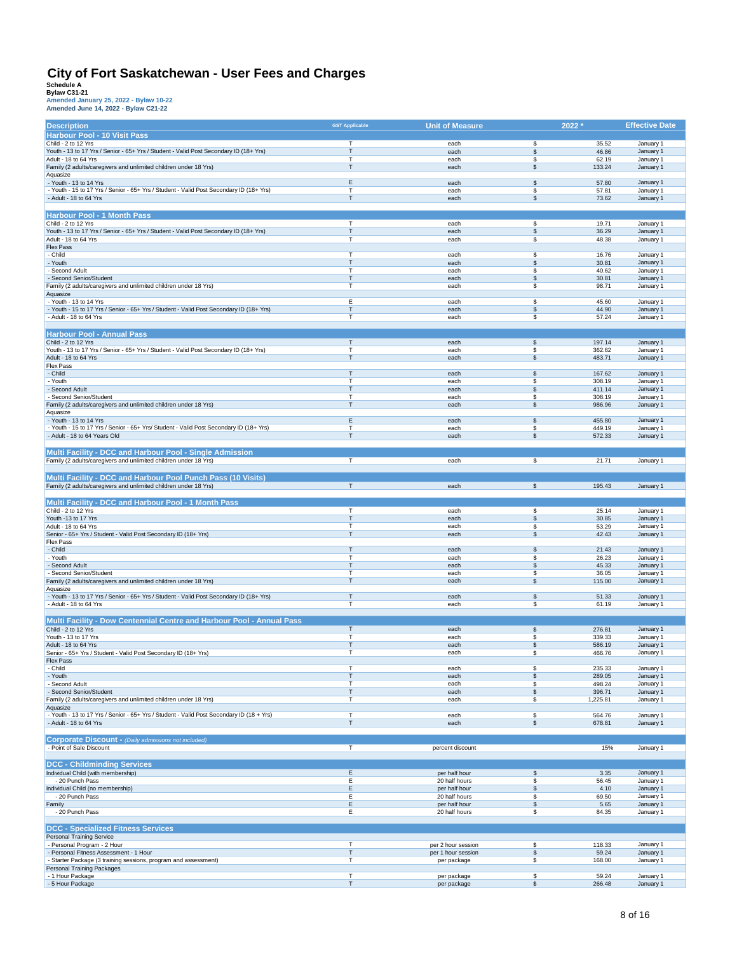| <b>Description</b>                                                                                                           | <b>GST Applicable</b>       | <b>Unit of Measure</b>                   | 2022 *                   |                  | <b>Effective Date</b>  |
|------------------------------------------------------------------------------------------------------------------------------|-----------------------------|------------------------------------------|--------------------------|------------------|------------------------|
| <b>Harbour Pool - 10 Visit Pass</b>                                                                                          |                             |                                          |                          |                  |                        |
| Child - 2 to 12 Yrs                                                                                                          | T.                          | each                                     | \$                       | 35.52            | January 1              |
| Youth - 13 to 17 Yrs / Senior - 65+ Yrs / Student - Valid Post Secondary ID (18+ Yrs)                                        | $\mathsf{T}$                | each                                     | \$                       | 46.86            | January 1              |
| Adult - 18 to 64 Yrs<br>Family (2 adults/caregivers and unlimited children under 18 Yrs)                                     | $\mathsf T$<br>$\mathsf{T}$ | each<br>each                             | \$<br>\$                 | 62.19<br>133.24  | January 1<br>January 1 |
| Aquasize                                                                                                                     |                             |                                          |                          |                  |                        |
| - Youth - 13 to 14 Yrs                                                                                                       | Ε                           | each                                     | \$                       | 57.80            | January 1              |
| - Youth - 15 to 17 Yrs / Senior - 65+ Yrs / Student - Valid Post Secondary ID (18+ Yrs)                                      | T                           | each                                     | \$                       | 57.81            | January 1              |
| - Adult - 18 to 64 Yrs                                                                                                       | $\mathsf{T}$                | each                                     | \$                       | 73.62            | January 1              |
|                                                                                                                              |                             |                                          |                          |                  |                        |
| <b>Harbour Pool - 1 Month Pass</b>                                                                                           |                             |                                          |                          |                  |                        |
| Child - 2 to 12 Yrs                                                                                                          | T                           | each                                     | \$                       | 19.71            | January 1              |
| Youth - 13 to 17 Yrs / Senior - 65+ Yrs / Student - Valid Post Secondary ID (18+ Yrs)                                        | $\mathsf{T}$                | each                                     | \$                       | 36.29            | January 1              |
| Adult - 18 to 64 Yrs                                                                                                         | $\mathsf{T}$                | each                                     | \$                       | 48.38            | January 1              |
| Flex Pass                                                                                                                    |                             |                                          |                          |                  |                        |
| - Child<br>- Youth                                                                                                           | т<br>Т                      | each<br>each                             | \$<br>\$                 | 16.76<br>30.81   | January 1<br>January 1 |
| Second Adult                                                                                                                 | T                           | each                                     | \$                       | 40.62            | January 1              |
| - Second Senior/Student                                                                                                      | T                           | each                                     | \$                       | 30.81            | January 1              |
| Family (2 adults/caregivers and unlimited children under 18 Yrs)                                                             | $\mathsf{T}$                | each                                     | \$                       | 98.71            | January 1              |
| Aquasize                                                                                                                     |                             |                                          |                          |                  |                        |
| - Youth - 13 to 14 Yrs                                                                                                       | Ε                           | each                                     | \$                       | 45.60            | January 1              |
| - Youth - 15 to 17 Yrs / Senior - 65+ Yrs / Student - Valid Post Secondary ID (18+ Yrs)                                      | $\mathsf{T}$                | each                                     | \$                       | 44.90            | January 1              |
| - Adult - 18 to 64 Yrs                                                                                                       | T                           | each                                     | \$                       | 57.24            | January 1              |
|                                                                                                                              |                             |                                          |                          |                  |                        |
| <b>Harbour Pool - Annual Pass</b>                                                                                            |                             |                                          |                          |                  |                        |
| Child - 2 to 12 Yrs                                                                                                          | $\mathsf T$                 | each                                     | \$                       | 197.14           | January 1              |
| Youth - 13 to 17 Yrs / Senior - 65+ Yrs / Student - Valid Post Secondary ID (18+ Yrs)                                        | T                           | each                                     | \$                       | 362.62           | January 1              |
| Adult - 18 to 64 Yrs<br><b>Flex Pass</b>                                                                                     | $\mathsf{T}$                | each                                     | \$                       | 483.71           | January 1              |
| - Child                                                                                                                      | Т                           | each                                     | \$                       | 167.62           | January 1              |
| - Youth                                                                                                                      | $\mathsf{T}$                | each                                     | \$                       | 308.19           | January 1              |
| - Second Adult                                                                                                               | T                           | each                                     | \$                       | 411.14           | January 1              |
| Second Senior/Student                                                                                                        | T                           | each                                     | \$                       | 308.19           | January 1              |
| Family (2 adults/caregivers and unlimited children under 18 Yrs)                                                             | $\mathsf{T}$                | each                                     | \$                       | 986.96           | January 1              |
| Aquasize                                                                                                                     |                             |                                          |                          |                  |                        |
| - Youth - 13 to 14 Yrs                                                                                                       | E                           | each                                     | \$                       | 455.80           | January 1              |
| - Youth - 15 to 17 Yrs / Senior - 65+ Yrs/ Student - Valid Post Secondary ID (18+ Yrs)                                       | т                           | each                                     | \$                       | 449.19           | January 1              |
| - Adult - 18 to 64 Years Old                                                                                                 | $\mathsf{T}$                | each                                     | \$                       | 572.33           | January 1              |
|                                                                                                                              |                             |                                          |                          |                  |                        |
| Multi Facility - DCC and Harbour Pool - Single Admission<br>Family (2 adults/caregivers and unlimited children under 18 Yrs) | T                           | each                                     | $\overline{\mathcal{E}}$ | 21.71            | January 1              |
|                                                                                                                              |                             |                                          |                          |                  |                        |
| Multi Facility - DCC and Harbour Pool Punch Pass (10 Visits)                                                                 |                             |                                          |                          |                  |                        |
| Family (2 adults/caregivers and unlimited children under 18 Yrs)                                                             | T                           | each                                     | \$                       | 195.43           | January 1              |
|                                                                                                                              |                             |                                          |                          |                  |                        |
| Multi Facility - DCC and Harbour Pool - 1 Month Pass                                                                         |                             |                                          |                          |                  |                        |
| Child - 2 to 12 Yrs                                                                                                          | T                           | each                                     | \$                       | 25.14            | January 1              |
| Youth -13 to 17 Yrs                                                                                                          | Т                           | each                                     | \$                       | 30.85            | January 1              |
| Adult - 18 to 64 Yrs                                                                                                         | $\mathsf{T}$                | each                                     | \$                       | 53.29            | January 1              |
| Senior - 65+ Yrs / Student - Valid Post Secondary ID (18+ Yrs)                                                               | $\mathsf{T}$                | each                                     | \$                       | 42.43            | January 1              |
| Flex Pass                                                                                                                    |                             |                                          |                          |                  |                        |
| - Child                                                                                                                      | Т                           | each                                     | \$                       | 21.43            | January 1              |
| - Youth                                                                                                                      | $\mathsf{T}$                | each                                     | \$                       | 26.23            | January 1              |
| - Second Adult<br>- Second Senior/Student                                                                                    | Т<br>т                      | each<br>each                             | \$<br>\$                 | 45.33<br>36.05   | January 1<br>January 1 |
| Family (2 adults/caregivers and unlimited children under 18 Yrs)                                                             | $\mathsf{T}$                | each                                     | \$                       | 115.00           | January 1              |
| Aquasize                                                                                                                     |                             |                                          |                          |                  |                        |
| - Youth - 13 to 17 Yrs / Senior - 65+ Yrs / Student - Valid Post Secondary ID (18+ Yrs)                                      | Т                           | each                                     | \$                       | 51.33            | January 1              |
| - Adult - 18 to 64 Yrs                                                                                                       | $\mathsf{T}$                | each                                     | \$                       | 61.19            | January 1              |
|                                                                                                                              |                             |                                          |                          |                  |                        |
| Multi Facility - Dow Centennial Centre and Harbour Pool - Annual Pass                                                        |                             |                                          |                          |                  |                        |
| Child - 2 to 12 Yrs                                                                                                          | $\mathsf T$                 | each                                     | \$                       | 276.81           | January 1              |
| Youth - 13 to 17 Yrs                                                                                                         | T                           | each                                     | \$                       | 339.33           | January 1              |
| Adult - 18 to 64 Yrs<br>Senior - 65+ Yrs / Student - Valid Post Secondary ID (18+ Yrs)                                       | Т<br>т                      | each<br>each                             | \$<br>\$                 | 586.19           | January 1<br>January 1 |
| <b>Flex Pass</b>                                                                                                             |                             |                                          |                          | 466.76           |                        |
| - Child                                                                                                                      | $\mathsf{T}$                | each                                     | \$                       | 235.33           | January 1              |
| - Youth                                                                                                                      | $\mathsf T$                 | each                                     | $\,$                     | 289.05           | January 1              |
| - Second Adult                                                                                                               | T                           | each                                     | \$                       | 498.24           | January 1              |
| - Second Senior/Student                                                                                                      | $\mathsf T$                 | each                                     | \$                       | 396.71           | January 1              |
| Family (2 adults/caregivers and unlimited children under 18 Yrs)                                                             | $\mathsf T$                 | each                                     | \$                       | 1,225.81         | January 1              |
| Aquasize                                                                                                                     |                             |                                          |                          |                  |                        |
| - Youth - 13 to 17 Yrs / Senior - 65+ Yrs / Student - Valid Post Secondary ID (18 + Yrs)<br>- Adult - 18 to 64 Yrs           | $\top$<br>$\mathsf T$       | each<br>each                             | \$<br>\$                 | 564.76<br>678.81 | January 1<br>January 1 |
|                                                                                                                              |                             |                                          |                          |                  |                        |
| <b>Corporate Discount - (Daily admissions not included)</b>                                                                  |                             |                                          |                          |                  |                        |
| - Point of Sale Discount                                                                                                     | $\overline{T}$              | percent discount                         |                          | 15%              | January 1              |
|                                                                                                                              |                             |                                          |                          |                  |                        |
| <b>DCC - Childminding Services</b>                                                                                           |                             |                                          |                          |                  |                        |
| Individual Child (with membership)                                                                                           | $\mathsf E$                 | per half hour                            | \$                       | 3.35             | January 1              |
| - 20 Punch Pass                                                                                                              | Е                           | 20 half hours                            | \$                       | 56.45            | January 1              |
| Individual Child (no membership)                                                                                             | E                           | per half hour                            | \$                       | 4.10             | January 1              |
| - 20 Punch Pass                                                                                                              | Ε                           | 20 half hours                            | \$                       | 69.50            | January 1              |
| Family                                                                                                                       | Ε                           | per half hour                            | \$                       | 5.65             | January 1              |
| - 20 Punch Pass                                                                                                              | Ε                           | 20 half hours                            | \$                       | 84.35            | January 1              |
|                                                                                                                              |                             |                                          |                          |                  |                        |
| <b>DCC - Specialized Fitness Services</b>                                                                                    |                             |                                          |                          |                  |                        |
| <b>Personal Training Service</b>                                                                                             | $\mathsf T$                 |                                          | \$                       |                  |                        |
| - Personal Program - 2 Hour<br>- Personal Fitness Assessment - 1 Hour                                                        | $\mathsf{T}$                | per 2 hour session<br>per 1 hour session | \$                       | 118.33<br>59.24  | January 1<br>January 1 |
| - Starter Package (3 training sessions, program and assessment)                                                              | $\mathsf T$                 | per package                              | \$                       | 168.00           | January 1              |
| Personal Training Packages                                                                                                   |                             |                                          |                          |                  |                        |
| - 1 Hour Package                                                                                                             | $\mathsf{T}$                | per package                              | \$                       | 59.24            | January 1              |
| - 5 Hour Package                                                                                                             | T                           | per package                              | \$                       | 266.48           | January 1              |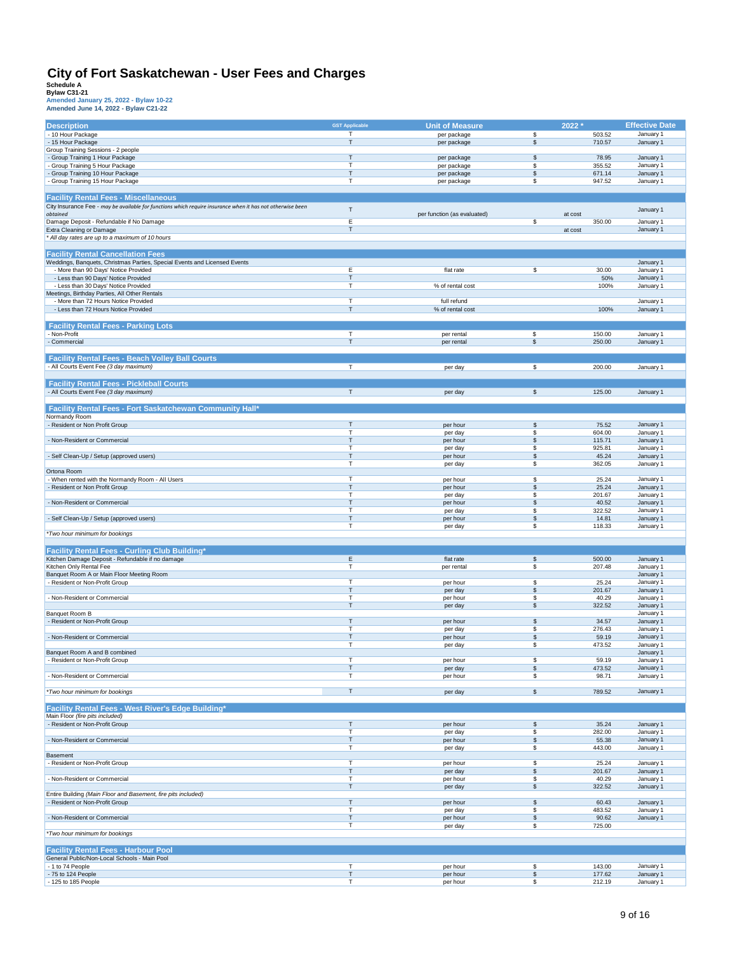| <b>Description</b>                                                                                         | <b>GST Applicable</b> | <b>Unit of Measure</b>          |              | 2022 *           | <b>Effective Date</b>  |
|------------------------------------------------------------------------------------------------------------|-----------------------|---------------------------------|--------------|------------------|------------------------|
| - 10 Hour Package                                                                                          | т                     | per package                     | \$           | 503.52           | January 1              |
| - 15 Hour Package                                                                                          | T                     | per package                     | $\mathbb{S}$ | 710.57           | January 1              |
| Group Training Sessions - 2 people                                                                         |                       |                                 |              |                  |                        |
| - Group Training 1 Hour Package                                                                            | T                     | per package                     | \$           | 78.95            | January 1              |
| Group Training 5 Hour Package                                                                              | т                     | per package                     | \$           | 355.52           | January 1              |
| - Group Training 10 Hour Package<br>- Group Training 15 Hour Package                                       | т<br>т                | per package                     | \$<br>\$     | 671.14<br>947.52 | January 1              |
|                                                                                                            |                       | per package                     |              |                  | January 1              |
| <b>Facility Rental Fees - Miscellaneous</b>                                                                |                       |                                 |              |                  |                        |
| City Insurance Fee - may be available for functions which require insurance when it has not otherwise been |                       |                                 |              |                  |                        |
| obtained                                                                                                   | $\mathsf T$           | per function (as evaluated)     |              | at cost          | January 1              |
| Damage Deposit - Refundable if No Damage                                                                   | Ε                     |                                 | \$           | 350.00           | January 1              |
| Extra Cleaning or Damage                                                                                   | T                     |                                 |              | at cost          | January 1              |
| * All day rates are up to a maximum of 10 hours                                                            |                       |                                 |              |                  |                        |
| <b>Facility Rental Cancellation Fees</b>                                                                   |                       |                                 |              |                  |                        |
| Weddings, Banquets, Christmas Parties, Special Events and Licensed Events                                  |                       |                                 |              |                  | January 1              |
| - More than 90 Days' Notice Provided                                                                       | Ε                     | flat rate                       | \$           | 30.00            | January 1              |
| - Less than 90 Days' Notice Provided                                                                       | Т                     |                                 |              | 50%              | January 1              |
| - Less than 30 Days' Notice Provided                                                                       | т                     | % of rental cost                |              | 100%             | January 1              |
| Meetings, Birthday Parties, All Other Rentals                                                              |                       |                                 |              |                  |                        |
| - More than 72 Hours Notice Provided<br>- Less than 72 Hours Notice Provided                               | T<br>T                | full refund<br>% of rental cost |              | 100%             | January 1<br>January 1 |
|                                                                                                            |                       |                                 |              |                  |                        |
| <b>Facility Rental Fees - Parking Lots</b>                                                                 |                       |                                 |              |                  |                        |
| - Non-Profit                                                                                               | $\mathsf T$           | per rental                      | \$           | 150.00           | January 1              |
| - Commercial                                                                                               | T                     | per rental                      | \$           | 250.00           | January 1              |
|                                                                                                            |                       |                                 |              |                  |                        |
| <b>Facility Rental Fees - Beach Volley Ball Courts</b>                                                     |                       |                                 |              |                  |                        |
| - All Courts Event Fee (3 day maximum)                                                                     | T.                    | per day                         | \$           | 200.00           | January 1              |
| <b>Facility Rental Fees - Pickleball Courts</b>                                                            |                       |                                 |              |                  |                        |
| - All Courts Event Fee (3 day maximum)                                                                     | T                     | per day                         | \$           | 125.00           | January 1              |
|                                                                                                            |                       |                                 |              |                  |                        |
| Facility Rental Fees - Fort Saskatchewan Community Hall*                                                   |                       |                                 |              |                  |                        |
| Normandy Room                                                                                              |                       |                                 |              |                  |                        |
| - Resident or Non Profit Group                                                                             | T                     | per hour                        | \$           | 75.52            | January 1              |
|                                                                                                            | т                     | per day                         | \$           | 604.00           | January 1              |
| - Non-Resident or Commercial                                                                               | T                     | per hour                        | \$           | 115.71           | January 1              |
| - Self Clean-Up / Setup (approved users)                                                                   | т<br>T                | per day                         | \$<br>\$     | 925.81<br>45.24  | January 1              |
|                                                                                                            | T                     | per hour<br>per day             | \$           | 362.05           | January 1<br>January 1 |
| Ortona Room                                                                                                |                       |                                 |              |                  |                        |
| - When rented with the Normandy Room - All Users                                                           | T                     | per hour                        | \$           | 25.24            | January 1              |
| - Resident or Non Profit Group                                                                             | T                     | per hour                        | \$           | 25.24            | January 1              |
|                                                                                                            | т                     | per day                         | \$           | 201.67           | January 1              |
| - Non-Resident or Commercial                                                                               | T<br>T                | per hour                        | \$           | 40.52            | January 1              |
| - Self Clean-Up / Setup (approved users)                                                                   | T                     | per day<br>per hour             | \$<br>\$     | 322.52<br>14.81  | January 1<br>January 1 |
|                                                                                                            | T                     | per day                         | \$           | 118.33           | January 1              |
| *Two hour minimum for bookings                                                                             |                       |                                 |              |                  |                        |
|                                                                                                            |                       |                                 |              |                  |                        |
| <b>Facility Rental Fees - Curling Club Building*</b>                                                       |                       |                                 |              |                  |                        |
| Kitchen Damage Deposit - Refundable if no damage                                                           | E                     | flat rate                       | \$           | 500.00           | January 1              |
| Kitchen Only Rental Fee<br>Banquet Room A or Main Floor Meeting Room                                       | т                     | per rental                      | \$           | 207.48           | January 1<br>January 1 |
| - Resident or Non-Profit Group                                                                             | T                     | per hour                        | \$           | 25.24            | January 1              |
|                                                                                                            | T                     | per day                         | \$           | 201.67           | January 1              |
| - Non-Resident or Commercial                                                                               | T                     | per hour                        | \$           | 40.29            | January 1              |
|                                                                                                            | T                     | per day                         | \$           | 322.52           | January 1              |
| Banquet Room B                                                                                             | T                     |                                 | \$           | 34.57            | January 1              |
| - Resident or Non-Profit Group                                                                             | T                     | per hour<br>per day             | \$           | 276.43           | January 1<br>January 1 |
| - Non-Resident or Commercial                                                                               | T                     | per hour                        | \$           | 59.19            | January 1              |
|                                                                                                            | т                     | per day                         | \$           | 473.52           | January 1              |
| Banquet Room A and B combined                                                                              |                       |                                 |              |                  | January 1              |
| Resident or Non-Profit Group .                                                                             |                       | per hour                        | \$           | 59.19            | January 1              |
| - Non-Resident or Commercial                                                                               | т<br>T                | per day<br>per hour             | \$<br>\$     | 473.52<br>98.71  | January 1<br>January 1 |
|                                                                                                            |                       |                                 |              |                  |                        |
| *Two hour minimum for bookings                                                                             | т                     | per day                         | \$           | 789.52           | January 1              |
|                                                                                                            |                       |                                 |              |                  |                        |
| Facility Rental Fees - West River's Edge Building*                                                         |                       |                                 |              |                  |                        |
| Main Floor (fire pits included)                                                                            |                       |                                 |              |                  |                        |
| - Resident or Non-Profit Group                                                                             | т<br>T                | per hour<br>per day             | \$<br>\$     | 35.24<br>282.00  | January 1<br>January 1 |
| - Non-Resident or Commercial                                                                               | T                     | per hour                        | \$           | 55.38            | January 1              |
|                                                                                                            | T                     | per day                         | \$           | 443.00           | January 1              |
| Basement                                                                                                   |                       |                                 |              |                  |                        |
| - Resident or Non-Profit Group                                                                             | T                     | per hour                        | \$           | 25.24            | January 1              |
| - Non-Resident or Commercial                                                                               | T<br>T                | per day<br>per hour             | \$<br>\$     | 201.67<br>40.29  | January 1<br>January 1 |
|                                                                                                            | т                     | per day                         | \$           | 322.52           | January 1              |
| Entire Building (Main Floor and Basement, fire pits included)                                              |                       |                                 |              |                  |                        |
| - Resident or Non-Profit Group                                                                             | T                     | per hour                        | \$           | 60.43            | January 1              |
|                                                                                                            | T                     | per day                         | \$           | 483.52           | January 1              |
| - Non-Resident or Commercial                                                                               | т<br>T                | per hour                        | \$<br>\$     | 90.62<br>725.00  | January 1              |
| *Two hour minimum for bookings                                                                             |                       | per day                         |              |                  |                        |
|                                                                                                            |                       |                                 |              |                  |                        |
| <b>Facility Rental Fees - Harbour Pool</b>                                                                 |                       |                                 |              |                  |                        |
| General Public/Non-Local Schools - Main Pool                                                               |                       |                                 |              |                  |                        |
| - 1 to 74 People                                                                                           | т                     | per hour                        | \$           | 143.00           | January 1              |
| - 75 to 124 People                                                                                         | T                     | per hour                        | \$           | 177.62           | January 1              |
| - 125 to 185 People                                                                                        | T                     | per hour                        | \$           | 212.19           | January 1              |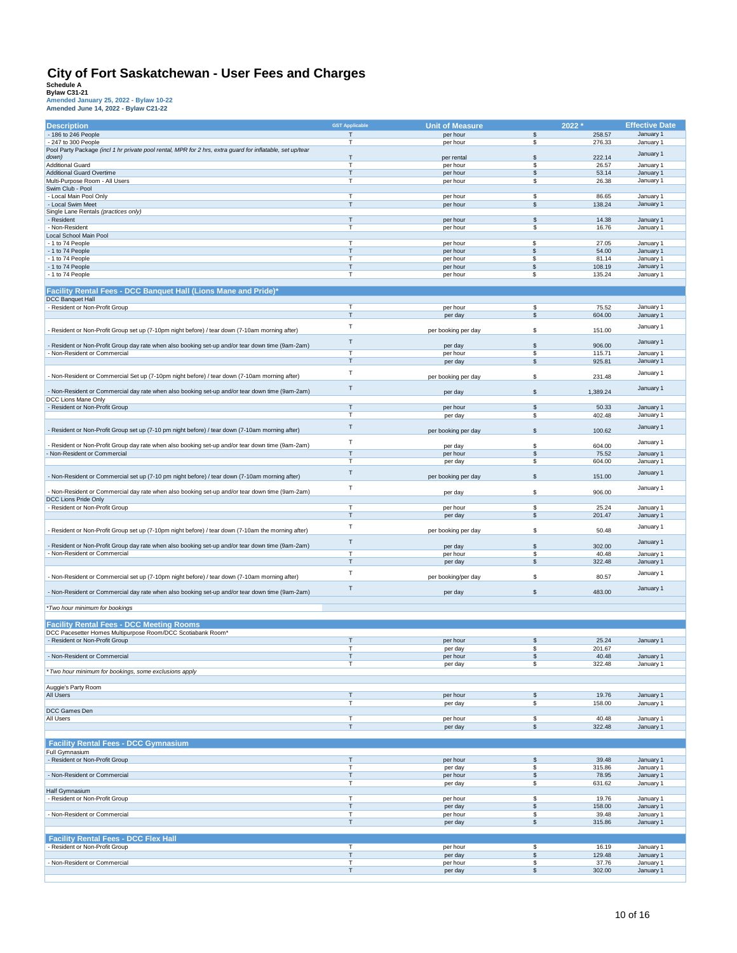|                                                                                                           | <b>GST Applicable</b> |                        |                  |                  |                        |
|-----------------------------------------------------------------------------------------------------------|-----------------------|------------------------|------------------|------------------|------------------------|
| <b>Description</b>                                                                                        |                       | <b>Unit of Measure</b> |                  | 2022 *           | <b>Effective Date</b>  |
| - 186 to 246 People                                                                                       | $\mathsf{T}$          | per hour               | \$               | 258.57           | January 1              |
| - 247 to 300 People                                                                                       | п                     | per hour               | \$               | 276.33           | January 1              |
| Pool Party Package (incl 1 hr private pool rental, MPR for 2 hrs, extra guard for inflatable, set up/tear |                       |                        |                  |                  | January 1              |
| down)                                                                                                     | $\mathsf{T}$          | per rental             | \$               | 222.14           |                        |
| <b>Additional Guard</b>                                                                                   | $\mathsf{T}$          | per hour               | \$               | 26.57            | January 1              |
| Additional Guard Overtime                                                                                 | $\mathsf{T}$          | per hour               | \$               | 53.14            | January 1              |
| Multi-Purpose Room - All Users                                                                            | $\mathsf{T}$          | per hour               | \$               | 26.38            | January 1              |
| Swim Club - Pool                                                                                          | $\overline{1}$        |                        |                  |                  |                        |
| - Local Main Pool Only                                                                                    |                       | per hour               | \$               | 86.65            | January 1              |
| - Local Swim Meet                                                                                         | T                     | per hour               | \$               | 138.24           | January 1              |
| Single Lane Rentals (practices only)                                                                      |                       |                        |                  |                  |                        |
| - Resident                                                                                                | T                     | per hour               | \$               | 14.38            | January 1              |
| - Non-Resident                                                                                            | т                     | per hour               | \$               | 16.76            | January 1              |
| Local School Main Pool                                                                                    | п                     |                        | \$               |                  |                        |
| - 1 to 74 People                                                                                          | Т                     | per hour               |                  | 27.05            | January 1              |
| - 1 to 74 People                                                                                          | $\mathsf{T}$          | per hour               | \$               | 54.00            | January 1              |
| - 1 to 74 People                                                                                          | $\mathsf{T}$          | per hour               | \$<br>\$         | 81.14            | January 1              |
| - 1 to 74 People<br>- 1 to 74 People                                                                      | $\mathsf{T}$          | per hour<br>per hour   | \$               | 108.19<br>135.24 | January 1<br>January 1 |
|                                                                                                           |                       |                        |                  |                  |                        |
|                                                                                                           |                       |                        |                  |                  |                        |
| Facility Rental Fees - DCC Banquet Hall (Lions Mane and Pride)*                                           |                       |                        |                  |                  |                        |
| <b>DCC Banquet Hall</b>                                                                                   |                       |                        |                  |                  |                        |
| - Resident or Non-Profit Group                                                                            | Т                     | per hour               | \$               | 75.52            | January 1              |
|                                                                                                           | T                     | per day                | \$               | 604.00           | January 1              |
| Resident or Non-Profit Group set up (7-10pm night before) / tear down (7-10am morning after)              | $\top$                |                        |                  |                  | January 1              |
|                                                                                                           |                       | per booking per day    | \$               | 151.00           |                        |
| Resident or Non-Profit Group day rate when also booking set-up and/or tear down time (9am-2am)            | T                     |                        | \$               | 906.00           | January 1              |
| Non-Resident or Commercial                                                                                | $\overline{ }$        | per day<br>per hour    | \$               | 115.71           | January 1              |
|                                                                                                           | $\mathsf{T}$          |                        | \$               | 925.81           | January 1              |
|                                                                                                           |                       | per day                |                  |                  |                        |
| Non-Resident or Commercial Set up (7-10pm night before) / tear down (7-10am morning after)                | T                     | per booking per day    | \$               | 231.48           | January 1              |
|                                                                                                           |                       |                        |                  |                  |                        |
| Non-Resident or Commercial day rate when also booking set-up and/or tear down time (9am-2am)              | $\mathsf{T}$          | per day                | $\mathfrak s$    | 1,389.24         | January 1              |
| DCC Lions Mane Only                                                                                       |                       |                        |                  |                  |                        |
| - Resident or Non-Profit Group                                                                            | $\mathsf{T}$          | per hour               | \$               | 50.33            | January 1              |
|                                                                                                           | $\mathsf{T}$          | per day                | \$               | 402.48           | January 1              |
|                                                                                                           |                       |                        |                  |                  |                        |
| Resident or Non-Profit Group set up (7-10 pm night before) / tear down (7-10am morning after)             | $\top$                | per booking per day    | \$               | 100.62           | January 1              |
|                                                                                                           |                       |                        |                  |                  |                        |
| Resident or Non-Profit Group day rate when also booking set-up and/or tear down time (9am-2am)            | $\mathsf T$           | per day                | \$               | 604.00           | January 1              |
| Non-Resident or Commercial                                                                                | $\mathsf{T}$          | per hour               | \$               | 75.52            | January 1              |
|                                                                                                           | $\mathsf{T}$          | per day                | \$               | 604.00           | January 1              |
|                                                                                                           |                       |                        |                  |                  |                        |
| Non-Resident or Commercial set up (7-10 pm night before) / tear down (7-10am morning after)               | $\mathsf{T}$          | per booking per day    | \$               | 151.00           | January 1              |
|                                                                                                           |                       |                        |                  |                  |                        |
| Non-Resident or Commercial day rate when also booking set-up and/or tear down time (9am-2am)              | T                     | per day                | \$               | 906.00           | January 1              |
| DCC Lions Pride Only                                                                                      |                       |                        |                  |                  |                        |
| - Resident or Non-Profit Group                                                                            | T                     | per hour               | \$               | 25.24            | January 1              |
|                                                                                                           | T                     | per day                | \$               | 201.47           | January 1              |
|                                                                                                           |                       |                        |                  |                  |                        |
| Resident or Non-Profit Group set up (7-10pm night before) / tear down (7-10am the morning after)          | $\mathsf{T}$          | per booking per day    | \$               | 50.48            | January 1              |
|                                                                                                           |                       |                        |                  |                  |                        |
| Resident or Non-Profit Group day rate when also booking set-up and/or tear down time (9am-2am)            | $\mathsf T$           | per day                | \$               | 302.00           | January 1              |
| Non-Resident or Commercial                                                                                | $\overline{1}$        | per hour               | \$               | 40.48            | January 1              |
|                                                                                                           | $\mathsf{T}$          | per day                | \$               | 322.48           | January 1              |
|                                                                                                           | $\mathsf{T}$          |                        |                  |                  |                        |
| Non-Resident or Commercial set up (7-10pm night before) / tear down (7-10am morning after)                |                       | per booking/per day    | \$               | 80.57            | January 1              |
|                                                                                                           | T                     |                        |                  |                  | January 1              |
| Non-Resident or Commercial day rate when also booking set-up and/or tear down time (9am-2am)              |                       | per day                | \$               | 483.00           |                        |
|                                                                                                           |                       |                        |                  |                  |                        |
| *Two hour minimum for bookings                                                                            |                       |                        |                  |                  |                        |
|                                                                                                           |                       |                        |                  |                  |                        |
| <b>Facility Rental Fees - DCC Meeting Rooms</b>                                                           |                       |                        |                  |                  |                        |
| DCC Pacesetter Homes Multipurpose Room/DCC Scotiabank Room*                                               |                       |                        |                  |                  |                        |
| - Resident or Non-Profit Group                                                                            | $\mathsf{T}$          | per hour               | \$               | 25.24            | January 1              |
|                                                                                                           | т                     | per day                | \$               | 201.67           |                        |
| - Non-Resident or Commercial                                                                              |                       | per hour               |                  | 40.48            | January 1              |
|                                                                                                           | $\top$                | per day                | \$               | 322.48           | January 1              |
| * Two hour minimum for bookings, some exclusions apply                                                    |                       |                        |                  |                  |                        |
|                                                                                                           |                       |                        |                  |                  |                        |
| Auggie's Party Room                                                                                       |                       |                        |                  |                  |                        |
| All Users                                                                                                 | $\mathsf T$           | per hour               | \$               | 19.76            | January 1              |
|                                                                                                           | T                     | per day                | \$               | 158.00           | January 1              |
| DCC Games Den                                                                                             |                       |                        |                  |                  |                        |
| All Users                                                                                                 | $\top$                | per hour               | \$               | 40.48            | January 1              |
|                                                                                                           | $\top$                | per day                | \$               | 322.48           | January 1              |
|                                                                                                           |                       |                        |                  |                  |                        |
| <b>Facility Rental Fees - DCC Gymnasium</b>                                                               |                       |                        |                  |                  |                        |
| Full Gymnasium                                                                                            |                       |                        |                  |                  |                        |
| - Resident or Non-Profit Group                                                                            | T                     | per hour               | \$               | 39.48            | January 1              |
|                                                                                                           | T                     | per day                | \$               | 315.86           | January 1              |
| - Non-Resident or Commercial                                                                              | T                     | per hour               | \$               | 78.95            | January 1              |
|                                                                                                           | $\overline{1}$        | per day                | \$               | 631.62           | January 1              |
| Half Gymnasium                                                                                            |                       |                        |                  |                  |                        |
| Resident or Non-Profit Group                                                                              | T                     | per hour               | \$               | 19.76            | January 1              |
|                                                                                                           | T                     | per day                | $$\mathfrak{S}$$ | 158.00           | January 1              |
| - Non-Resident or Commercial                                                                              | T                     | per hour               | \$               | 39.48            | January 1              |
|                                                                                                           | T                     | per day                | \$               | 315.86           | January 1              |
|                                                                                                           |                       |                        |                  |                  |                        |
| <b>Facility Rental Fees - DCC Flex Hall</b>                                                               |                       |                        |                  |                  |                        |
| Resident or Non-Profit Group                                                                              | $\top$                | per hour               | \$               | 16.19            | January 1              |
|                                                                                                           | $\top$                | per day                | \$               | 129.48           | January 1              |
| Non-Resident or Commercial                                                                                | $\mathsf T$           | per hour               | \$               | 37.76            | January 1              |
|                                                                                                           | $\mathsf T$           | per day                | \$               | 302.00           | January 1              |
|                                                                                                           |                       |                        |                  |                  |                        |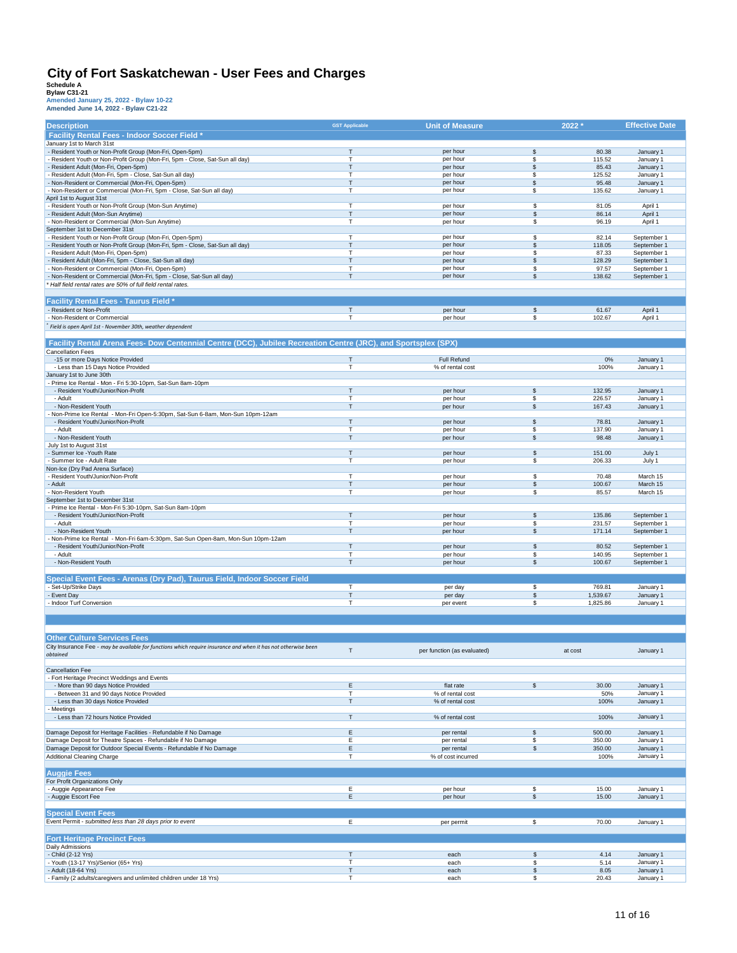| <b>Description</b>                                                                                                                         | <b>GST Applicable</b>        | <b>Unit of Measure</b>      |               | 2022                 | <b>Effective Date</b>      |
|--------------------------------------------------------------------------------------------------------------------------------------------|------------------------------|-----------------------------|---------------|----------------------|----------------------------|
| <b>Facility Rental Fees - Indoor Soccer Field *</b>                                                                                        |                              |                             |               |                      |                            |
| January 1st to March 31st                                                                                                                  |                              |                             |               |                      |                            |
| - Resident Youth or Non-Profit Group (Mon-Fri, Open-5pm)                                                                                   | Т                            | per hour                    | \$            | 80.38                | January 1                  |
| Resident Youth or Non-Profit Group (Mon-Fri, 5pm - Close, Sat-Sun all day)<br>- Resident Adult (Mon-Fri, Open-5pm)                         | T<br>T                       | per hour<br>per hour        | \$<br>\$      | 115.52<br>85.43      | January 1<br>January 1     |
| Resident Adult (Mon-Fri, 5pm - Close, Sat-Sun all day)                                                                                     | т                            | per hour                    | \$            | 125.52               | January 1                  |
| Non-Resident or Commercial (Mon-Fri, Open-5pm)                                                                                             | $\mathsf T$                  | per hour                    | \$            | 95.48                | January 1                  |
| Non-Resident or Commercial (Mon-Fri, 5pm - Close, Sat-Sun all day)                                                                         | $\mathsf T$                  | per hour                    | \$            | 135.62               | January 1                  |
| April 1st to August 31st                                                                                                                   |                              |                             |               |                      |                            |
| - Resident Youth or Non-Profit Group (Mon-Sun Anytime)<br>- Resident Adult (Mon-Sun Anytime)                                               | $\mathsf{T}$<br>$\mathsf{T}$ | per hour<br>per hour        | \$<br>\$      | 81.05<br>86.14       | April 1<br>April 1         |
| - Non-Resident or Commercial (Mon-Sun Anytime)                                                                                             | т                            | per hour                    | \$            | 96.19                | April 1                    |
| September 1st to December 31st                                                                                                             |                              |                             |               |                      |                            |
| - Resident Youth or Non-Profit Group (Mon-Fri, Open-5pm)                                                                                   | $\mathsf{T}$                 | per hour                    | \$            | 82.14                | September 1                |
| Resident Youth or Non-Profit Group (Mon-Fri, 5pm - Close, Sat-Sun all day)                                                                 | $\mathsf{T}$                 | per hour                    | \$            | 118.05               | September 1                |
| - Resident Adult (Mon-Fri, Open-5pm)                                                                                                       | T                            | per hour                    | \$            | 87.33                | September 1                |
| Resident Adult (Mon-Fri, 5pm - Close, Sat-Sun all day)<br>Non-Resident or Commercial (Mon-Fri, Open-5pm)                                   | $\mathsf{T}$<br>т            | per hour<br>per hour        | \$<br>\$      | 128.29<br>97.57      | September 1<br>September 1 |
| - Non-Resident or Commercial (Mon-Fri, 5pm - Close, Sat-Sun all day)                                                                       | Т                            | per hour                    | \$            | 138.62               | September 1                |
| Half field rental rates are 50% of full field rental rates.                                                                                |                              |                             |               |                      |                            |
|                                                                                                                                            |                              |                             |               |                      |                            |
| <b>Facility Rental Fees - Taurus Field *</b>                                                                                               |                              |                             |               |                      |                            |
| - Resident or Non-Profit                                                                                                                   | $\top$                       | per hour                    | \$            | 61.67                | April 1                    |
| - Non-Resident or Commercial                                                                                                               | $\mathsf{T}$                 | per hour                    | \$            | 102.67               | April 1                    |
| Field is open April 1st - November 30th, weather dependent                                                                                 |                              |                             |               |                      |                            |
|                                                                                                                                            |                              |                             |               |                      |                            |
| Facility Rental Arena Fees- Dow Centennial Centre (DCC), Jubilee Recreation Centre (JRC), and Sportsplex (SPX)<br><b>Cancellation Fees</b> |                              |                             |               |                      |                            |
| -15 or more Days Notice Provided                                                                                                           | $\mathsf T$                  | Full Refund                 |               | 0%                   | January 1                  |
| - Less than 15 Days Notice Provided                                                                                                        | $\mathsf T$                  | % of rental cost            |               | 100%                 | January 1                  |
| January 1st to June 30th                                                                                                                   |                              |                             |               |                      |                            |
| Prime Ice Rental - Mon - Fri 5:30-10pm, Sat-Sun 8am-10pm                                                                                   |                              |                             |               |                      |                            |
| - Resident Youth/Junior/Non-Profit                                                                                                         | Т                            | per hour                    | \$            | 132.95               | January 1                  |
| - Adult<br>- Non-Resident Youth                                                                                                            | т<br>Т                       | per hour<br>per hour        | \$<br>\$      | 226.57<br>167.43     | January 1<br>January 1     |
| Non-Prime Ice Rental - Mon-Fri Open-5:30pm, Sat-Sun 6-8am, Mon-Sun 10pm-12am                                                               |                              |                             |               |                      |                            |
| - Resident Youth/Junior/Non-Profit                                                                                                         | $\mathsf{T}$                 | per hour                    | \$            | 78.81                | January 1                  |
| - Adult                                                                                                                                    | $\mathsf{T}$                 | per hour                    | \$            | 137.90               | January 1                  |
| - Non-Resident Youth                                                                                                                       | $\mathsf{T}$                 | per hour                    | \$            | 98.48                | January 1                  |
| July 1st to August 31st                                                                                                                    |                              |                             |               |                      |                            |
| - Summer Ice - Youth Rate                                                                                                                  | $\mathsf T$                  | per hour                    | \$            | 151.00               | July 1                     |
| - Summer Ice - Adult Rate                                                                                                                  | T                            | per hour                    | \$            | 206.33               | July 1                     |
| Non-Ice (Dry Pad Arena Surface)<br>- Resident Youth/Junior/Non-Profit                                                                      | $\mathsf{T}$                 | per hour                    | \$            | 70.48                | March 15                   |
| - Adult                                                                                                                                    | $\mathsf{T}$                 | per hour                    | \$            | 100.67               | March 15                   |
| - Non-Resident Youth                                                                                                                       | $\mathsf{T}$                 | per hour                    | \$            | 85.57                | March 15                   |
| September 1st to December 31st                                                                                                             |                              |                             |               |                      |                            |
| Prime Ice Rental - Mon-Fri 5:30-10pm, Sat-Sun 8am-10pm                                                                                     |                              |                             |               |                      |                            |
| - Resident Youth/Junior/Non-Profit                                                                                                         | $\sf T$                      | per hour                    | \$            | 135.86               | September 1                |
| - Adult<br>- Non-Resident Youth                                                                                                            | $\mathsf{T}$<br>$\mathsf{T}$ | per hour<br>per hour        | \$<br>\$      | 231.57<br>171.14     | September 1<br>September 1 |
| Non-Prime Ice Rental - Mon-Fri 6am-5:30pm, Sat-Sun Open-8am, Mon-Sun 10pm-12am                                                             |                              |                             |               |                      |                            |
| - Resident Youth/Junior/Non-Profit                                                                                                         | $\mathsf{T}$                 | per hour                    | \$            | 80.52                | September 1                |
| - Adult                                                                                                                                    | T                            | per hour                    | \$            | 140.95               | September 1                |
| - Non-Resident Youth                                                                                                                       | $\mathsf{T}$                 | per hour                    | \$            | 100.67               | September 1                |
|                                                                                                                                            |                              |                             |               |                      |                            |
| Special Event Fees - Arenas (Dry Pad), Taurus Field, Indoor Soccer Field                                                                   |                              |                             |               |                      |                            |
| Set-Up/Strike Days                                                                                                                         | T.                           | per day                     | \$            | 769.81               | January 1                  |
| - Event Day<br>- Indoor Turf Conversion                                                                                                    | $\mathsf{T}$<br>$\mathsf{T}$ | per day<br>per event        | \$<br>\$      | 1,539.67<br>1,825.86 | January 1<br>January 1     |
|                                                                                                                                            |                              |                             |               |                      |                            |
|                                                                                                                                            |                              |                             |               |                      |                            |
|                                                                                                                                            |                              |                             |               |                      |                            |
| <b>Other Culture Services Fees</b>                                                                                                         |                              |                             |               |                      |                            |
| City Insurance Fee - may be available for functions which require insurance and when it has not otherwise been                             |                              |                             |               |                      |                            |
| obtained                                                                                                                                   | $\mathsf{T}$                 | per function (as evaluated) |               | at cost              | January 1                  |
|                                                                                                                                            |                              |                             |               |                      |                            |
| <b>Cancellation Fee</b>                                                                                                                    |                              |                             |               |                      |                            |
| - Fort Heritage Precinct Weddings and Events<br>- More than 90 days Notice Provided                                                        | Ε                            | flat rate                   | \$            | 30.00                | January 1                  |
| - Between 31 and 90 days Notice Provided                                                                                                   | T                            | % of rental cost            |               | 50%                  | January 1                  |
| - Less than 30 days Notice Provided                                                                                                        | $\mathsf{T}$                 | % of rental cost            |               | 100%                 | January 1                  |
| Meetings                                                                                                                                   |                              |                             |               |                      |                            |
| - Less than 72 hours Notice Provided                                                                                                       | T                            | % of rental cost            |               | 100%                 | January 1                  |
| Damage Deposit for Heritage Facilities - Refundable if No Damage                                                                           | Ε                            |                             |               | 500.00               |                            |
| Damage Deposit for Theatre Spaces - Refundable if No Damage                                                                                | Ε                            | per rental<br>per rental    | \$<br>\$      | 350.00               | January 1<br>January 1     |
| Damage Deposit for Outdoor Special Events - Refundable if No Damage                                                                        | E                            | per rental                  | $\mathfrak s$ | 350.00               | January 1                  |
| Additional Cleaning Charge                                                                                                                 | T                            | % of cost incurred          |               | 100%                 | January 1                  |
|                                                                                                                                            |                              |                             |               |                      |                            |
| <b>Auggie Fees</b>                                                                                                                         |                              |                             |               |                      |                            |
| For Profit Organizations Only                                                                                                              |                              |                             |               |                      |                            |
| - Auggie Appearance Fee                                                                                                                    | Е                            | per hour                    | \$            | 15.00                | January 1                  |
| - Auggie Escort Fee                                                                                                                        | E                            | per hour                    | \$            | 15.00                | January 1                  |
| <b>Special Event Fees</b>                                                                                                                  |                              |                             |               |                      |                            |
| Event Permit - submitted less than 28 days prior to event                                                                                  | Ε                            | per permit                  | \$            | 70.00                | January 1                  |
|                                                                                                                                            |                              |                             |               |                      |                            |
| <b>Fort Heritage Precinct Fees</b>                                                                                                         |                              |                             |               |                      |                            |
|                                                                                                                                            |                              |                             |               |                      |                            |
| Daily Admissions                                                                                                                           |                              |                             |               |                      |                            |
| - Child (2-12 Yrs)                                                                                                                         | $\mathsf T$                  | each                        | \$            | 4.14                 | January 1                  |
| - Youth (13-17 Yrs)/Senior (65+ Yrs)                                                                                                       | $\mathsf{T}$                 | each                        | \$            | 5.14                 | January 1                  |
| - Adult (18-64 Yrs)<br>- Family (2 adults/caregivers and unlimited children under 18 Yrs)                                                  | T<br>$\mathsf T$             | each<br>each                | \$<br>\$      | 8.05<br>20.43        | January 1<br>January 1     |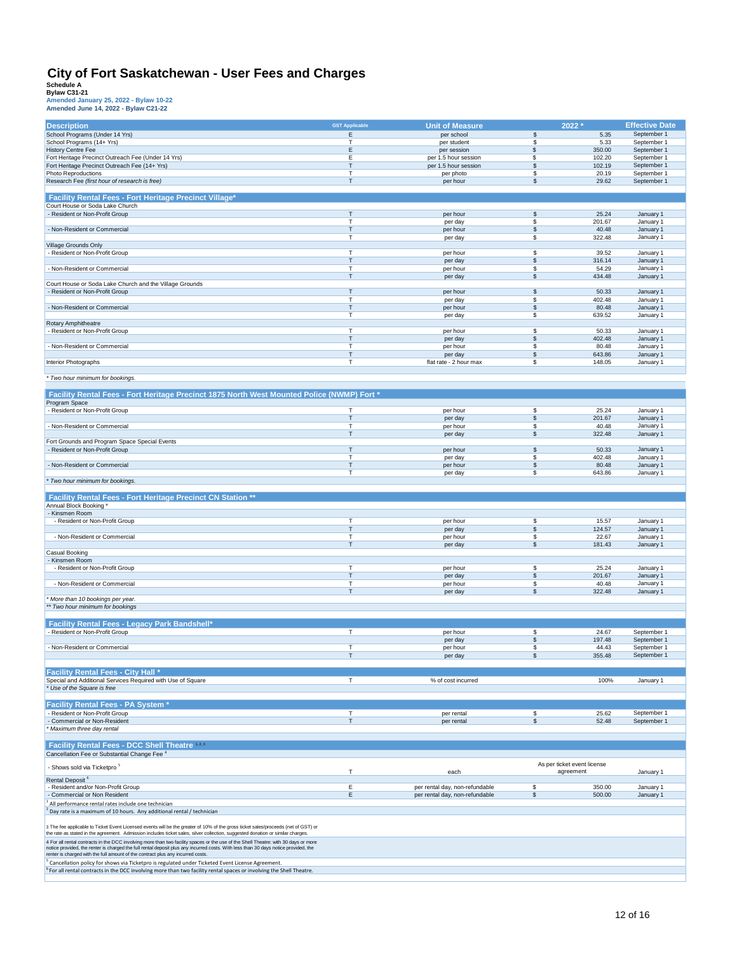| <b>Description</b>                                                                                                                                                                                                                                                    | <b>GST Applicable</b> | <b>Unit of Measure</b>         | 2022 *                                   |                 | <b>Effective Date</b>      |
|-----------------------------------------------------------------------------------------------------------------------------------------------------------------------------------------------------------------------------------------------------------------------|-----------------------|--------------------------------|------------------------------------------|-----------------|----------------------------|
| School Programs (Under 14 Yrs)                                                                                                                                                                                                                                        | E                     | per school                     | $$\mathbb{S}$$                           | 5.35            | September 1                |
| School Programs (14+ Yrs)                                                                                                                                                                                                                                             | T                     | per student                    | \$                                       | 5.33            | September 1                |
| <b>History Centre Fee</b>                                                                                                                                                                                                                                             | E                     | per session                    | \$                                       | 350.00          | September 1                |
| Fort Heritage Precinct Outreach Fee (Under 14 Yrs)                                                                                                                                                                                                                    | Е                     | per 1.5 hour session           | \$                                       | 102.20          | September 1                |
| Fort Heritage Precinct Outreach Fee (14+ Yrs)                                                                                                                                                                                                                         | T<br>$\mathsf{T}$     | per 1.5 hour session           | \$                                       | 102.19          | September 1                |
| Photo Reproductions<br>Research Fee (first hour of research is free)                                                                                                                                                                                                  | Т                     | per photo<br>per hour          | \$<br>\$                                 | 20.19<br>29.62  | September 1<br>September 1 |
|                                                                                                                                                                                                                                                                       |                       |                                |                                          |                 |                            |
| Facility Rental Fees - Fort Heritage Precinct Village*                                                                                                                                                                                                                |                       |                                |                                          |                 |                            |
| Court House or Soda Lake Church                                                                                                                                                                                                                                       |                       |                                |                                          |                 |                            |
| - Resident or Non-Profit Group                                                                                                                                                                                                                                        | Т                     | per hour                       | \$                                       | 25.24           | January 1                  |
|                                                                                                                                                                                                                                                                       | $\mathbf T$           | per day                        | \$                                       | 201.67          | January 1                  |
| - Non-Resident or Commercial                                                                                                                                                                                                                                          | Т<br>т                | per hour                       | \$<br>\$                                 | 40.48<br>322.48 | January 1<br>January 1     |
| Village Grounds Only                                                                                                                                                                                                                                                  |                       | per day                        |                                          |                 |                            |
| Resident or Non-Profit Group                                                                                                                                                                                                                                          | T                     | per hour                       | \$                                       | 39.52           | January 1                  |
|                                                                                                                                                                                                                                                                       | $\mathsf{T}$          | per day                        | \$                                       | 316.14          | January 1                  |
| - Non-Resident or Commercial                                                                                                                                                                                                                                          | T                     | per hour                       | \$                                       | 54.29           | January 1                  |
|                                                                                                                                                                                                                                                                       | $\mathsf{T}$          | per day                        | \$                                       | 434.48          | January 1                  |
| Court House or Soda Lake Church and the Village Grounds<br>- Resident or Non-Profit Group                                                                                                                                                                             | T                     | per hour                       | \$                                       | 50.33           | January 1                  |
|                                                                                                                                                                                                                                                                       | T                     | per day                        | \$                                       | 402.48          | January 1                  |
| - Non-Resident or Commercial                                                                                                                                                                                                                                          | $\mathsf{T}$          | per hour                       | \$                                       | 80.48           | January 1                  |
|                                                                                                                                                                                                                                                                       | T                     | per day                        | \$                                       | 639.52          | January 1                  |
| Rotary Amphitheatre                                                                                                                                                                                                                                                   |                       |                                |                                          |                 |                            |
| - Resident or Non-Profit Group                                                                                                                                                                                                                                        | т                     | per hour                       | \$                                       | 50.33           | January 1                  |
| - Non-Resident or Commercial                                                                                                                                                                                                                                          | T<br>$\mathsf{T}$     | per day<br>per hour            | \$<br>\$                                 | 402.48<br>80.48 | January 1<br>January 1     |
|                                                                                                                                                                                                                                                                       | $\mathsf{T}$          | per day                        | \$                                       | 643.86          | January 1                  |
| Interior Photographs                                                                                                                                                                                                                                                  | $\mathsf{T}$          | flat rate - 2 hour max         | \$                                       | 148.05          | January 1                  |
|                                                                                                                                                                                                                                                                       |                       |                                |                                          |                 |                            |
| * Two hour minimum for bookings.                                                                                                                                                                                                                                      |                       |                                |                                          |                 |                            |
|                                                                                                                                                                                                                                                                       |                       |                                |                                          |                 |                            |
| Facility Rental Fees - Fort Heritage Precinct 1875 North West Mounted Police (NWMP) Fort *                                                                                                                                                                            |                       |                                |                                          |                 |                            |
| Program Space<br>- Resident or Non-Profit Group                                                                                                                                                                                                                       | т                     |                                | \$                                       | 25.24           | January 1                  |
|                                                                                                                                                                                                                                                                       | T                     | per hour<br>per day            | \$                                       | 201.67          | January 1                  |
| Non-Resident or Commercial                                                                                                                                                                                                                                            | T                     | per hour                       | \$                                       | 40.48           | January 1                  |
|                                                                                                                                                                                                                                                                       | $\mathsf{T}$          | per day                        | \$                                       | 322.48          | January 1                  |
| Fort Grounds and Program Space Special Events                                                                                                                                                                                                                         |                       |                                |                                          |                 |                            |
| - Resident or Non-Profit Group                                                                                                                                                                                                                                        | T                     | per hour                       | \$                                       | 50.33           | January 1                  |
|                                                                                                                                                                                                                                                                       | т<br>T                | per day                        | \$                                       | 402.48          | January 1                  |
| - Non-Resident or Commercial                                                                                                                                                                                                                                          | T                     | per hour<br>per day            | \$<br>\$                                 | 80.48<br>643.86 | January 1<br>January 1     |
| * Two hour minimum for bookings.                                                                                                                                                                                                                                      |                       |                                |                                          |                 |                            |
|                                                                                                                                                                                                                                                                       |                       |                                |                                          |                 |                            |
| Facility Rental Fees - Fort Heritage Precinct CN Station **                                                                                                                                                                                                           |                       |                                |                                          |                 |                            |
| Annual Block Booking *                                                                                                                                                                                                                                                |                       |                                |                                          |                 |                            |
| - Kinsmen Room                                                                                                                                                                                                                                                        |                       |                                |                                          |                 |                            |
| - Resident or Non-Profit Group                                                                                                                                                                                                                                        | T<br>$\mathsf{T}$     | per hour                       | \$<br>$$\mathsf{\$}$                     | 15.57<br>124.57 | January 1                  |
| - Non-Resident or Commercial                                                                                                                                                                                                                                          | $\mathsf{T}$          | per day<br>per hour            | \$                                       | 22.67           | January 1<br>January 1     |
|                                                                                                                                                                                                                                                                       |                       |                                |                                          |                 | January 1                  |
|                                                                                                                                                                                                                                                                       | T                     |                                |                                          |                 |                            |
| <b>Casual Booking</b>                                                                                                                                                                                                                                                 |                       | per day                        | $\mathfrak s$                            | 181.43          |                            |
| - Kinsmen Room                                                                                                                                                                                                                                                        |                       |                                |                                          |                 |                            |
| - Resident or Non-Profit Group                                                                                                                                                                                                                                        | T                     | per hour                       | \$                                       | 25.24           | January 1                  |
|                                                                                                                                                                                                                                                                       | T                     | per day                        | \$                                       | 201.67          | January 1                  |
| - Non-Resident or Commercial                                                                                                                                                                                                                                          | т                     | per hour                       | \$                                       | 40.48           | January 1                  |
|                                                                                                                                                                                                                                                                       | $\mathsf{T}$          | per day                        | \$                                       | 322.48          | January 1                  |
| More than 10 bookings per year.<br>** Two hour minimum for bookings                                                                                                                                                                                                   |                       |                                |                                          |                 |                            |
|                                                                                                                                                                                                                                                                       |                       |                                |                                          |                 |                            |
| <b>Facility Rental Fees - Legacy Park Bandshell*</b>                                                                                                                                                                                                                  |                       |                                |                                          |                 |                            |
| - Resident or Non-Profit Group                                                                                                                                                                                                                                        | $\top$                | per hour                       | \$                                       | 24.67           | September 1                |
|                                                                                                                                                                                                                                                                       |                       | per day                        | \$                                       | 197.48          | September 1                |
| - Non-Resident or Commercial                                                                                                                                                                                                                                          | T                     | per hour                       | \$                                       | 44.43           | September 1                |
|                                                                                                                                                                                                                                                                       | T                     | per day                        | \$                                       | 355.48          | September 1                |
|                                                                                                                                                                                                                                                                       |                       |                                |                                          |                 |                            |
| <b>Facility Rental Fees - City Hall *</b><br>Special and Additional Services Required with Use of Square                                                                                                                                                              | $\mathsf{T}$          | % of cost incurred             |                                          | 100%            | January 1                  |
| * Use of the Square is free                                                                                                                                                                                                                                           |                       |                                |                                          |                 |                            |
|                                                                                                                                                                                                                                                                       |                       |                                |                                          |                 |                            |
| <b>Facility Rental Fees - PA System *</b>                                                                                                                                                                                                                             |                       |                                |                                          |                 |                            |
| - Resident or Non-Profit Group                                                                                                                                                                                                                                        | T                     | per rental                     | \$                                       | 25.62           | September 1                |
| - Commercial or Non-Resident                                                                                                                                                                                                                                          | T                     | per rental                     | $\mathfrak s$                            | 52.48           | September 1                |
| Maximum three day rental                                                                                                                                                                                                                                              |                       |                                |                                          |                 |                            |
|                                                                                                                                                                                                                                                                       |                       |                                |                                          |                 |                            |
| Facility Rental Fees - DCC Shell Theatre 12.3                                                                                                                                                                                                                         |                       |                                |                                          |                 |                            |
| Cancellation Fee or Substantial Change Fee <sup>4</sup>                                                                                                                                                                                                               |                       |                                |                                          |                 |                            |
| - Shows sold via Ticketpro <sup>5</sup>                                                                                                                                                                                                                               | т                     | each                           | As per ticket event license<br>agreement |                 | January 1                  |
| Rental Deposit <sup>6</sup>                                                                                                                                                                                                                                           |                       |                                |                                          |                 |                            |
| - Resident and/or Non-Profit Group                                                                                                                                                                                                                                    | E                     | per rental day, non-refundable | \$                                       | 350.00          | January 1                  |
| - Commercial or Non Resident                                                                                                                                                                                                                                          | Ε                     | per rental day, non-refundable | \$                                       | 500.00          | January 1                  |
| All performance rental rates include one technician                                                                                                                                                                                                                   |                       |                                |                                          |                 |                            |
| $2$ Day rate is a maximum of 10 hours. Any additional rental / technician                                                                                                                                                                                             |                       |                                |                                          |                 |                            |
|                                                                                                                                                                                                                                                                       |                       |                                |                                          |                 |                            |
| 3 The fee applicable to Ticket Event Licensed events will be the greater of 10% of the gross ticket sales/proceeds (net of GST) or<br>the rate as stated in the agreement. Admission includes ticket sales, silver collection, suggested donation or similar charges. |                       |                                |                                          |                 |                            |
| 4 For all rental contracts in the DCC involving more than two facility spaces or the use of the Shell Theatre: with 30 days or more                                                                                                                                   |                       |                                |                                          |                 |                            |
| notice provided, the renter is charged the full rental deposit plus any incurred costs. With less than 30 days notice provided, the<br>renter is charged with the full amount of the contract plus any incurred costs.                                                |                       |                                |                                          |                 |                            |
| Cancellation policy for shows via Ticketpro is regulated under Ticketed Event License Agreement.                                                                                                                                                                      |                       |                                |                                          |                 |                            |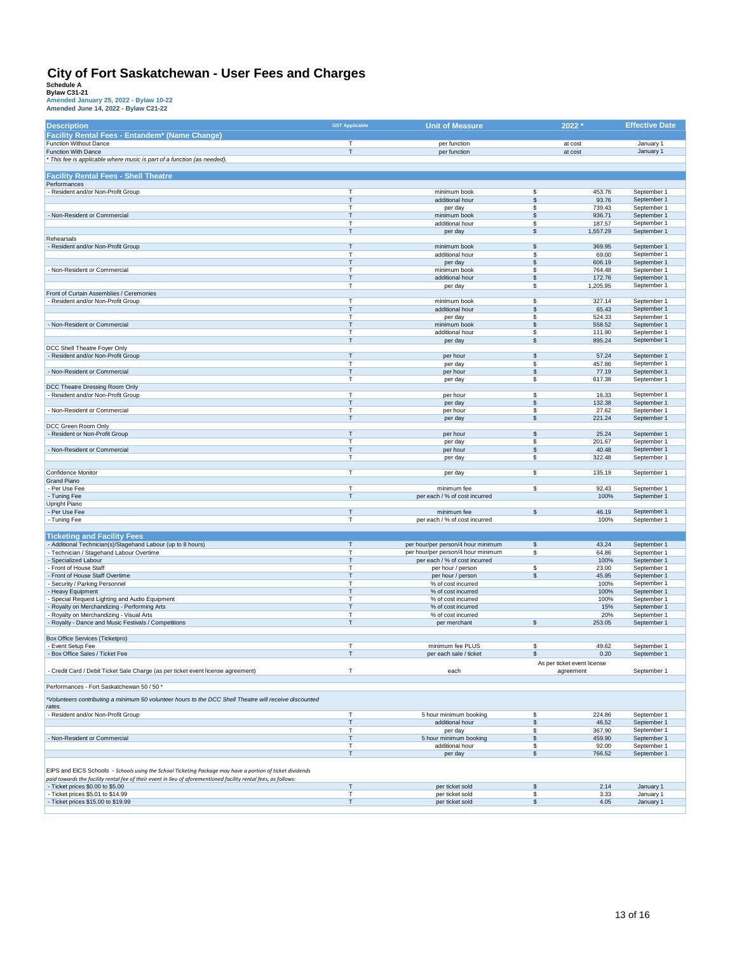| <b>Description</b>                                                                                              | <b>GST Applicable</b>        | <b>Unit of Measure</b>                     |               | 2022 *                                   | <b>Effective Date</b>      |
|-----------------------------------------------------------------------------------------------------------------|------------------------------|--------------------------------------------|---------------|------------------------------------------|----------------------------|
| Facility Rental Fees - Entandem* (Name Change)                                                                  |                              |                                            |               |                                          |                            |
| Function Without Dance                                                                                          | $\mathsf{T}$                 | per function                               |               | at cost                                  | January 1                  |
| Function With Dance                                                                                             | $\mathsf{T}$                 | per function                               |               | at cost                                  | January 1                  |
| * This fee is applicable where music is part of a function (as needed)                                          |                              |                                            |               |                                          |                            |
|                                                                                                                 |                              |                                            |               |                                          |                            |
| <b>Facility Rental Fees - Shell Theatre</b>                                                                     |                              |                                            |               |                                          |                            |
| Performances                                                                                                    |                              |                                            |               |                                          |                            |
| - Resident and/or Non-Profit Group                                                                              | Т<br>$\mathsf{T}$            | minimum book<br>additional hour            | \$<br>\$      | 453.76<br>93.76                          | September 1<br>September 1 |
|                                                                                                                 | т                            | per day                                    | \$            | 739.43                                   | September 1                |
| - Non-Resident or Commercial                                                                                    | Т                            | minimum book                               | $\mathfrak s$ | 936.71                                   | September 1                |
|                                                                                                                 | T                            | additional hour                            | \$            | 187.57                                   | September 1                |
|                                                                                                                 | $\mathsf{T}$                 | per day                                    | \$            | 1,557.29                                 | September 1                |
| Rehearsals                                                                                                      |                              |                                            |               |                                          |                            |
| - Resident and/or Non-Profit Group                                                                              | $\mathsf{T}$<br>$\mathsf{T}$ | minimum book                               | \$<br>\$      | 369.95<br>69.00                          | September 1<br>September 1 |
|                                                                                                                 | Т                            | additional hour<br>per day                 | \$            | 606.19                                   | September 1                |
| - Non-Resident or Commercial                                                                                    | $\mathsf{T}$                 | minimum book                               | \$            | 764.48                                   | September 1                |
|                                                                                                                 | $\mathsf{T}$                 | additional hour                            | \$            | 172.76                                   | September 1                |
|                                                                                                                 | T                            | per day                                    | \$            | 1,205.95                                 | September 1                |
| Front of Curtain Assemblies / Ceremonies                                                                        |                              |                                            |               |                                          |                            |
| - Resident and/or Non-Profit Group                                                                              | $\mathsf{T}$                 | minimum book                               | \$            | 327.14                                   | September 1                |
|                                                                                                                 | $\mathsf{T}$<br>т            | additional hour<br>per day                 | \$<br>\$      | 65.43<br>524.33                          | September 1<br>September 1 |
| - Non-Resident or Commercial                                                                                    | $\mathsf{T}$                 | minimum book                               | \$            | 558.52                                   | September 1                |
|                                                                                                                 | $\mathsf{T}$                 | additional hour                            | \$            | 111.90                                   | September 1                |
|                                                                                                                 | T                            | per day                                    | \$            | 895.24                                   | September 1                |
| DCC Shell Theatre Foyer Only                                                                                    |                              |                                            |               |                                          |                            |
| - Resident and/or Non-Profit Group                                                                              | $\mathsf{T}$                 | per hour                                   | \$            | 57.24                                    | September 1                |
|                                                                                                                 | T<br>$\mathsf T$             | per day                                    | \$            | 457.86                                   | September 1                |
| - Non-Resident or Commercial                                                                                    | $\mathsf{T}$                 | per hour<br>per day                        | \$<br>\$      | 77.19<br>617.38                          | September 1<br>September 1 |
| DCC Theatre Dressing Room Only                                                                                  |                              |                                            |               |                                          |                            |
| - Resident and/or Non-Profit Group                                                                              | $\mathsf{T}$                 | per hour                                   | \$            | 16.33                                    | September 1                |
|                                                                                                                 | T                            | per day                                    | \$            | 132.38                                   | September 1                |
| - Non-Resident or Commercial                                                                                    | $\mathsf{T}$                 | per hour                                   | \$            | 27.62                                    | September 1                |
|                                                                                                                 | T                            | per day                                    | \$            | 221.24                                   | September 1                |
| DCC Green Room Only<br>- Resident or Non-Profit Group                                                           | $\mathsf{T}$                 | per hour                                   | \$            | 25.24                                    | September 1                |
|                                                                                                                 | $\mathsf{T}$                 | per day                                    | \$            | 201.67                                   | September 1                |
| - Non-Resident or Commercial                                                                                    | T                            | per hour                                   | \$            | 40.48                                    | September 1                |
|                                                                                                                 | Т                            | per day                                    | \$            | 322.48                                   | September 1                |
|                                                                                                                 |                              |                                            |               |                                          |                            |
| Confidence Monitor<br>Grand Piano                                                                               | $\mathsf{T}$                 | per day                                    | \$            | 135.19                                   | September 1                |
| - Per Use Fee                                                                                                   | $\mathsf T$                  | minimum fee                                | \$            | 92.43                                    | September 1                |
| - Tuning Fee                                                                                                    | $\mathsf{T}$                 | per each / % of cost incurred              |               | 100%                                     | September 1                |
| Upright Piano                                                                                                   |                              |                                            |               |                                          |                            |
| - Per Use Fee                                                                                                   | $\mathsf T$                  | minimum fee                                | \$            | 46.19                                    | September 1                |
| - Tuning Fee                                                                                                    | T                            | per each / % of cost incurred              |               | 100%                                     | September 1                |
|                                                                                                                 |                              |                                            |               |                                          |                            |
| <b>Ticketing and Facility Fees</b><br>- Additional Technician(s)/Stagehand Labour (up to 8 hours)               | $\top$                       | per hour/per person/4 hour minimum         | \$            | 43.24                                    | September 1                |
| - Technician / Stagehand Labour Overtime                                                                        | $\overline{1}$               | per hour/per person/4 hour minimum         | \$            | 64.86                                    | September 1                |
| - Specialized Labour                                                                                            | T                            | per each / % of cost incurred              |               | 100%                                     | September 1                |
| - Front of House Staff                                                                                          | $\mathsf{T}$                 | per hour / person                          | \$            | 23.00                                    | September 1                |
| - Front of House Staff Overtime                                                                                 | $\mathsf{T}$                 | per hour / person                          | \$            | 45.95                                    | September 1                |
| Security / Parking Personnel                                                                                    | т                            | % of cost incurred                         |               | 100%                                     | September 1                |
| Heavy Equipment                                                                                                 | T<br>$\mathsf{T}$            | % of cost incurred                         |               | 100%                                     | September 1<br>September 1 |
| Special Request Lighting and Audio Equipment<br>Royalty on Merchandizing - Performing Arts                      | $\mathsf{T}$                 | % of cost incurred<br>% of cost incurred   |               | 100%<br>15%                              | September 1                |
| Royalty on Merchandizing - Visual Arts                                                                          | $\mathsf{T}$                 | % of cost incurred                         |               | 20%                                      | September 1                |
| - Royalty - Dance and Music Festivals / Competitions                                                            | T                            | per merchant                               | \$            | 253.05                                   | September 1                |
|                                                                                                                 |                              |                                            |               |                                          |                            |
| <b>Box Office Services (Ticketpro)</b>                                                                          |                              |                                            |               |                                          |                            |
| - Event Setup Fee<br>- Box Office Sales / Ticket Fee                                                            | $\mathsf{T}$<br>$\mathsf{T}$ | minimum fee PLUS<br>per each sale / ticket | \$<br>\$      | 49.62<br>0.20                            | September 1<br>September 1 |
|                                                                                                                 |                              |                                            |               |                                          |                            |
| Credit Card / Debit Ticket Sale Charge (as per ticket event license agreement)                                  | $\top$                       | each                                       |               | As per ticket event license<br>agreement | September 1                |
|                                                                                                                 |                              |                                            |               |                                          |                            |
| Performances - Fort Saskatchewan 50 / 50 *                                                                      |                              |                                            |               |                                          |                            |
| *Volunteers contributing a minimum 50 volunteer hours to the DCC Shell Theatre will receive discounted          |                              |                                            |               |                                          |                            |
| rates.                                                                                                          |                              |                                            |               |                                          |                            |
| Resident and/or Non-Profit Group                                                                                | $\mathsf{T}$                 | 5 hour minimum booking                     | \$            | 224.86                                   | September 1                |
|                                                                                                                 | T                            | additional hour                            | \$            | 46.52                                    | September 1                |
|                                                                                                                 | $\mathsf{T}$                 | per day                                    | \$            | 367.90                                   | September 1                |
| - Non-Resident or Commercial                                                                                    | $\mathsf{T}$                 | 5 hour minimum booking                     | \$            | 459.90                                   | September 1                |
|                                                                                                                 | Т<br>T                       | additional hour                            | \$<br>\$      | 92.00<br>766.52                          | September 1<br>September 1 |
|                                                                                                                 |                              | per day                                    |               |                                          |                            |
| EIPS and EICS Schools - Schools using the School Ticketing Package may have a portion of ticket dividends       |                              |                                            |               |                                          |                            |
| paid towards the facility rental fee of their event in lieu of aforementioned facility rental fees, as follows: |                              |                                            |               |                                          |                            |
| - Ticket prices \$0.00 to \$5.00                                                                                | T                            | per ticket sold                            | \$            | 2.14                                     | January 1                  |
| - Ticket prices \$5.01 to \$14.99                                                                               | $\mathsf T$                  | per ticket sold                            | \$            | 3.33                                     | January 1                  |
| - Ticket prices \$15.00 to \$19.99                                                                              | $\mathsf T$                  | per ticket sold                            | \$            | 4.05                                     | January 1                  |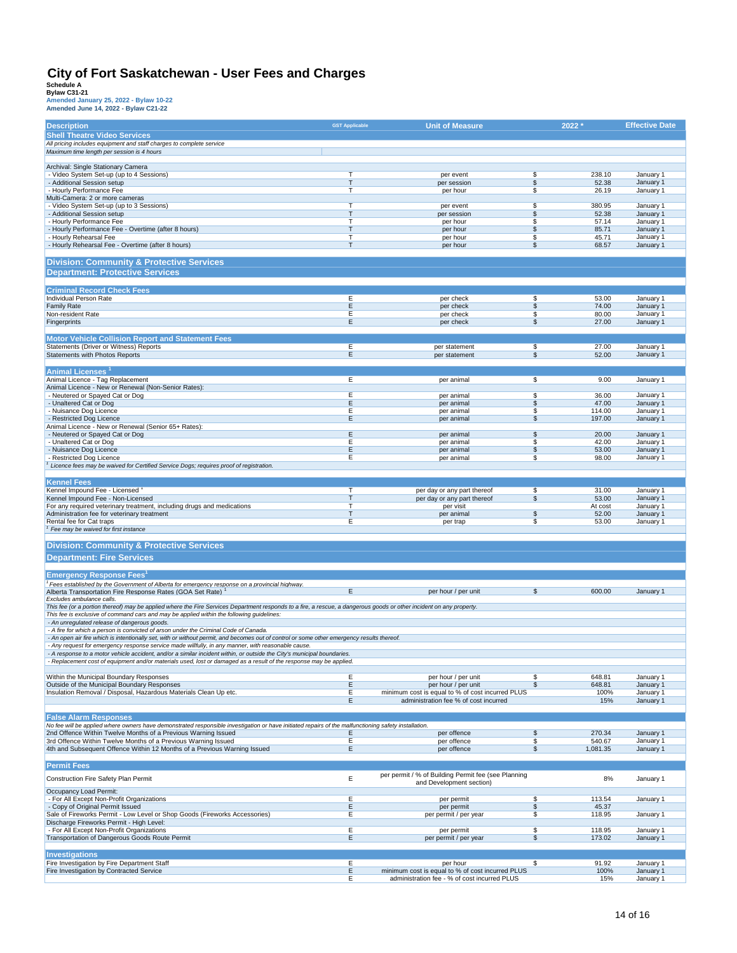| <b>Description</b>                                                                                                                                                                                                                                                | <b>GST Applicable</b> | <b>Unit of Measure</b>                                                  | 2022                          |                  | <b>Effective Date</b>  |
|-------------------------------------------------------------------------------------------------------------------------------------------------------------------------------------------------------------------------------------------------------------------|-----------------------|-------------------------------------------------------------------------|-------------------------------|------------------|------------------------|
| <b>Shell Theatre Video Services</b>                                                                                                                                                                                                                               |                       |                                                                         |                               |                  |                        |
| All pricing includes equipment and staff charges to complete service                                                                                                                                                                                              |                       |                                                                         |                               |                  |                        |
| Maximum time length per session is 4 hours                                                                                                                                                                                                                        |                       |                                                                         |                               |                  |                        |
| Archival: Single Stationary Camera                                                                                                                                                                                                                                |                       |                                                                         |                               |                  |                        |
| - Video System Set-up (up to 4 Sessions)<br>- Additional Session setup                                                                                                                                                                                            | т<br>т                | per event<br>per session                                                | \$<br>\$                      | 238.10<br>52.38  | January 1<br>January 1 |
| - Hourly Performance Fee                                                                                                                                                                                                                                          | т                     | per hour                                                                | \$                            | 26.19            | January 1              |
| Multi-Camera: 2 or more cameras                                                                                                                                                                                                                                   |                       |                                                                         |                               |                  |                        |
| - Video System Set-up (up to 3 Sessions)<br>- Additional Session setup                                                                                                                                                                                            | T<br>$\mathsf{T}$     | per event<br>per session                                                | \$<br>\$                      | 380.95<br>52.38  | January 1<br>January 1 |
| - Hourly Performance Fee                                                                                                                                                                                                                                          | т                     | per hour                                                                | \$                            | 57.14            | January 1              |
| - Hourly Performance Fee - Overtime (after 8 hours)<br>- Hourly Rehearsal Fee                                                                                                                                                                                     | т<br>т                | per hour<br>per hour                                                    | \$<br>\$                      | 85.71<br>45.71   | January 1<br>January 1 |
| - Hourly Rehearsal Fee - Overtime (after 8 hours)                                                                                                                                                                                                                 | т                     | per hour                                                                | \$                            | 68.57            | January 1              |
|                                                                                                                                                                                                                                                                   |                       |                                                                         |                               |                  |                        |
| <b>Division: Community &amp; Protective Services</b>                                                                                                                                                                                                              |                       |                                                                         |                               |                  |                        |
| <b>Department: Protective Services</b>                                                                                                                                                                                                                            |                       |                                                                         |                               |                  |                        |
| <b>Criminal Record Check Fees</b>                                                                                                                                                                                                                                 |                       |                                                                         |                               |                  |                        |
| Individual Person Rate                                                                                                                                                                                                                                            | Е                     | per check                                                               | \$                            | 53.00            | January 1              |
| <b>Family Rate</b>                                                                                                                                                                                                                                                | E<br>Ε                | per check                                                               | \$<br>\$                      | 74.00<br>80.00   | January 1              |
| Non-resident Rate<br>Fingerprints                                                                                                                                                                                                                                 | E                     | per check<br>per check                                                  | \$                            | 27.00            | January 1<br>January 1 |
|                                                                                                                                                                                                                                                                   |                       |                                                                         |                               |                  |                        |
| <b>Motor Vehicle Collision Report and Statement Fees</b>                                                                                                                                                                                                          |                       |                                                                         |                               |                  |                        |
| Statements (Driver or Witness) Reports<br>Statements with Photos Reports                                                                                                                                                                                          | Ε<br>Ε                | per statement<br>per statement                                          | \$<br>$\overline{\mathbb{S}}$ | 27.00<br>52.00   | January 1<br>January 1 |
|                                                                                                                                                                                                                                                                   |                       |                                                                         |                               |                  |                        |
| <b>Animal Licenses</b>                                                                                                                                                                                                                                            |                       |                                                                         |                               |                  |                        |
| Animal Licence - Tag Replacement<br>Animal Licence - New or Renewal (Non-Senior Rates):                                                                                                                                                                           | Е                     | per animal                                                              | \$                            | 9.00             | January 1              |
| - Neutered or Spayed Cat or Dog                                                                                                                                                                                                                                   | Ε                     | per animal                                                              | \$                            | 36.00            | January 1              |
| - Unaltered Cat or Dog                                                                                                                                                                                                                                            | E<br>Е                | per animal                                                              | \$<br>\$                      | 47.00            | January 1              |
| - Nuisance Dog Licence<br>- Restricted Dog Licence                                                                                                                                                                                                                | E                     | per animal<br>per animal                                                | \$                            | 114.00<br>197.00 | January 1<br>January 1 |
| Animal Licence - New or Renewal (Senior 65+ Rates):                                                                                                                                                                                                               |                       |                                                                         |                               |                  |                        |
| - Neutered or Spayed Cat or Dog<br>- Unaltered Cat or Dog                                                                                                                                                                                                         | Ε<br>Ε                | per animal<br>per animal                                                | \$<br>\$                      | 20.00<br>42.00   | January 1<br>January 1 |
| - Nuisance Dog Licence                                                                                                                                                                                                                                            | E                     | per animal                                                              | \$                            | 53.00            | January 1              |
| - Restricted Dog Licence                                                                                                                                                                                                                                          | Е                     | per animal                                                              | \$                            | 98.00            | January 1              |
| Licence fees may be waived for Certified Service Dogs; requires proof of registration.                                                                                                                                                                            |                       |                                                                         |                               |                  |                        |
| <b>Kennel Fees</b>                                                                                                                                                                                                                                                |                       |                                                                         |                               |                  |                        |
| Kennel Impound Fee - Licensed                                                                                                                                                                                                                                     | т                     | per day or any part thereof                                             | \$                            | 31.00            | January 1              |
| Kennel Impound Fee - Non-Licensed<br>For any required veterinary treatment, including drugs and medications                                                                                                                                                       | т<br>т                | per day or any part thereof<br>per visit                                | \$                            | 53.00<br>At cost | January 1<br>January 1 |
| Administration fee for veterinary treatment                                                                                                                                                                                                                       | T                     | per animal                                                              | \$                            | 52.00            | January 1              |
| Rental fee for Cat traps<br><sup>1</sup> Fee may be waived for first instance                                                                                                                                                                                     | Ε                     | per trap                                                                | \$                            | 53.00            | January 1              |
|                                                                                                                                                                                                                                                                   |                       |                                                                         |                               |                  |                        |
| <b>Division: Community &amp; Protective Services</b>                                                                                                                                                                                                              |                       |                                                                         |                               |                  |                        |
| <b>Department: Fire Services</b>                                                                                                                                                                                                                                  |                       |                                                                         |                               |                  |                        |
|                                                                                                                                                                                                                                                                   |                       |                                                                         |                               |                  |                        |
| <b>Emergency Response Fees'</b><br>Fees established by the Government of Alberta for emergency response on a provincial highway.                                                                                                                                  |                       |                                                                         |                               |                  |                        |
| Alberta Transportation Fire Response Rates (GOA Set Rate) <sup>1</sup>                                                                                                                                                                                            | Е                     | per hour / per unit                                                     | \$                            | 600.00           | January 1              |
| Excludes ambulance calls.                                                                                                                                                                                                                                         |                       |                                                                         |                               |                  |                        |
| This fee (or a portion thereof) may be applied where the Fire Services Department responds to a fire, a rescue, a dangerous goods or other incident on any property.<br>This fee is exclusive of command cars and may be applied within the following guidelines: |                       |                                                                         |                               |                  |                        |
| - An unregulated release of dangerous goods.                                                                                                                                                                                                                      |                       |                                                                         |                               |                  |                        |
| - A fire for which a person is convicted of arson under the Criminal Code of Canada.<br>- An open air fire which is intentionally set, with or without permit, and becomes out of control or some other emergency results thereof.                                |                       |                                                                         |                               |                  |                        |
| - Any request for emergency response service made willfully, in any manner, with reasonable cause.                                                                                                                                                                |                       |                                                                         |                               |                  |                        |
| - A response to a motor vehicle accident, and/or a similar incident within, or outside the City's municipal boundaries.                                                                                                                                           |                       |                                                                         |                               |                  |                        |
| - Replacement cost of equipment and/or materials used, lost or damaged as a result of the response may be applied.                                                                                                                                                |                       |                                                                         |                               |                  |                        |
| Within the Municipal Boundary Responses                                                                                                                                                                                                                           | Е                     | per hour / per unit                                                     | \$                            | 648.81           | January 1              |
| Outside of the Municipal Boundary Responses<br>Insulation Removal / Disposal, Hazardous Materials Clean Up etc.                                                                                                                                                   | E.<br>Ε               | per hour / per unit<br>minimum cost is equal to % of cost incurred PLUS | \$                            | 648.81<br>100%   | January 1<br>January 1 |
|                                                                                                                                                                                                                                                                   | E                     | administration fee % of cost incurred                                   |                               | 15%              | January 1              |
|                                                                                                                                                                                                                                                                   |                       |                                                                         |                               |                  |                        |
| <b>False Alarm Responses</b><br>No fee will be applied where owners have demonstrated responsible investigation or have initiated repairs of the malfunctioning safety installation.                                                                              |                       |                                                                         |                               |                  |                        |
| 2nd Offence Within Twelve Months of a Previous Warning Issued                                                                                                                                                                                                     | Ε                     | per offence                                                             | \$                            | 270.34           | January 1              |
| 3rd Offence Within Twelve Months of a Previous Warning Issued                                                                                                                                                                                                     | E                     | per offence                                                             | \$                            | 540.67           | January 1              |
| 4th and Subsequent Offence Within 12 Months of a Previous Warning Issued                                                                                                                                                                                          | E                     | per offence                                                             | \$                            | 1,081.35         | January 1              |
| <b>Permit Fees</b>                                                                                                                                                                                                                                                |                       |                                                                         |                               |                  |                        |
| Construction Fire Safety Plan Permit                                                                                                                                                                                                                              | E                     | per permit / % of Building Permit fee (see Planning                     |                               | 8%               | January 1              |
|                                                                                                                                                                                                                                                                   |                       | and Development section)                                                |                               |                  |                        |
| Occupancy Load Permit:<br>- For All Except Non-Profit Organizations                                                                                                                                                                                               | Е                     | per permit                                                              | \$                            | 113.54           | January 1              |
| - Copy of Original Permit Issued                                                                                                                                                                                                                                  | E                     | per permit                                                              | \$                            | 45.37            |                        |
| Sale of Fireworks Permit - Low Level or Shop Goods (Fireworks Accessories)<br>Discharge Fireworks Permit - High Level:                                                                                                                                            | Ε                     | per permit / per year                                                   | \$                            | 118.95           | January 1              |
| - For All Except Non-Profit Organizations                                                                                                                                                                                                                         | Ε                     | per permit                                                              | \$                            | 118.95           | January 1              |
| Transportation of Dangerous Goods Route Permit                                                                                                                                                                                                                    | E                     | per permit / per year                                                   | $\overline{\mathbb{S}}$       | 173.02           | January 1              |
| <b>Investigations</b>                                                                                                                                                                                                                                             |                       |                                                                         |                               |                  |                        |
| Fire Investigation by Fire Department Staff                                                                                                                                                                                                                       | E                     | per hour                                                                | \$                            | 91.92            | January 1              |
| Fire Investigation by Contracted Service                                                                                                                                                                                                                          | E                     | minimum cost is equal to % of cost incurred PLUS                        |                               | 100%             | January 1              |
|                                                                                                                                                                                                                                                                   | Ε                     | administration fee - % of cost incurred PLUS                            |                               | 15%              | January 1              |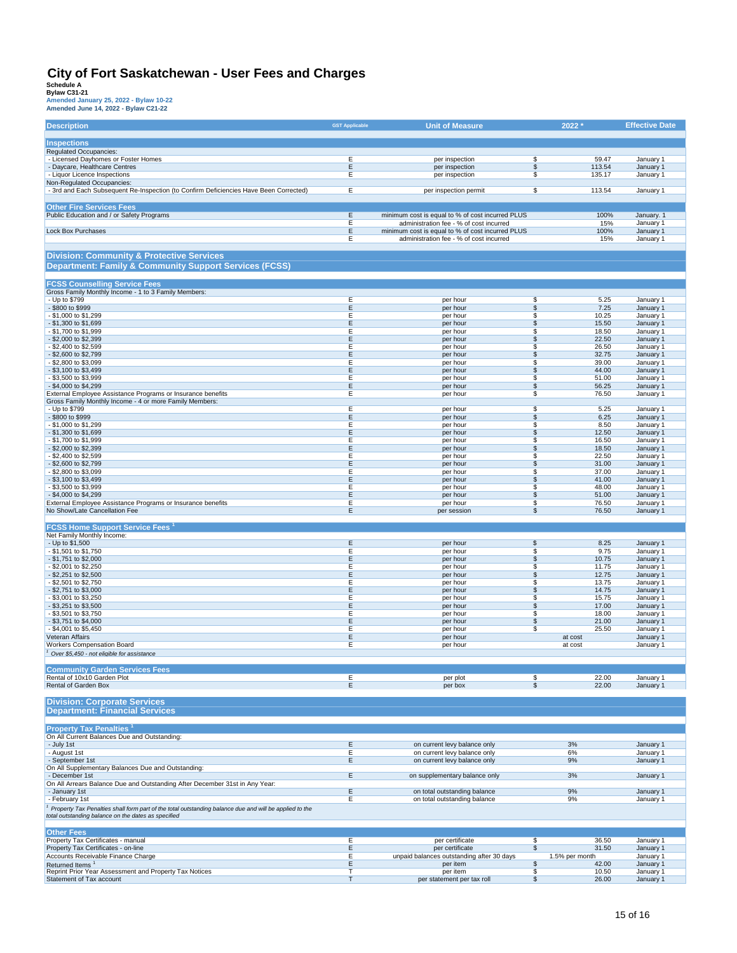| Amended June 14, 2022 - Bylaw C21-22 |  |  |  |
|--------------------------------------|--|--|--|
|                                      |  |  |  |

| <b>Description</b>                                                                                                  | <b>GST Applicable</b> | <b>Unit of Measure</b>                                                                      | 2022 *                                     |                 | <b>Effective Date</b>  |
|---------------------------------------------------------------------------------------------------------------------|-----------------------|---------------------------------------------------------------------------------------------|--------------------------------------------|-----------------|------------------------|
| <b>Inspections</b>                                                                                                  |                       |                                                                                             |                                            |                 |                        |
| Regulated Occupancies:                                                                                              |                       |                                                                                             |                                            |                 |                        |
| - Licensed Dayhomes or Foster Homes<br>- Daycare, Healthcare Centres                                                | Ε<br>E                | per inspection<br>per inspection                                                            | S<br>$\overline{\mathcal{S}}$              | 59.47<br>113.54 | January 1<br>January 1 |
| - Liquor Licence Inspections                                                                                        | Е                     | per inspection                                                                              | \$                                         | 135.17          | January 1              |
| Non-Regulated Occupancies:<br>- 3rd and Each Subsequent Re-Inspection (to Confirm Deficiencies Have Been Corrected) | Ε                     | per inspection permit                                                                       | \$                                         | 113.54          | January 1              |
|                                                                                                                     |                       |                                                                                             |                                            |                 |                        |
| <b>Other Fire Services Fees</b>                                                                                     | E                     |                                                                                             |                                            | 100%            | January. 1             |
| Public Education and / or Safety Programs                                                                           | E                     | minimum cost is equal to % of cost incurred PLUS<br>administration fee - % of cost incurred |                                            | 15%             | January 1              |
| <b>Lock Box Purchases</b>                                                                                           | E<br>Е                | minimum cost is equal to % of cost incurred PLUS<br>administration fee - % of cost incurred |                                            | 100%            | January 1              |
|                                                                                                                     |                       |                                                                                             |                                            | 15%             | January 1              |
| <b>Division: Community &amp; Protective Services</b>                                                                |                       |                                                                                             |                                            |                 |                        |
| <b>Department: Family &amp; Community Support Services (FCSS)</b>                                                   |                       |                                                                                             |                                            |                 |                        |
| <b>FCSS Counselling Service Fees</b>                                                                                |                       |                                                                                             |                                            |                 |                        |
| Gross Family Monthly Income - 1 to 3 Family Members:                                                                |                       |                                                                                             |                                            |                 |                        |
| - Up to \$799<br>- \$800 to \$999                                                                                   | Ε<br>E                | per hour<br>per hour                                                                        | S<br>\$                                    | 5.25<br>7.25    | January 1<br>January 1 |
| \$1,000 to \$1,299                                                                                                  | Е                     | per hour                                                                                    | \$                                         | 10.25           | January 1              |
| \$1,300 to \$1,699<br>- \$1,700 to \$1,999                                                                          | Ε<br>E                | per hour<br>per hour                                                                        | \$<br>\$                                   | 15.50<br>18.50  | January 1<br>January 1 |
| - \$2,000 to \$2,399                                                                                                | E                     | per hour                                                                                    | \$                                         | 22.50           | January 1              |
| \$2,400 to \$2,599<br>\$2,600 to \$2,799                                                                            | Е<br>E                | per hour<br>per hour                                                                        | \$<br>\$                                   | 26.50<br>32.75  | January 1<br>January 1 |
| \$2,800 to \$3,099                                                                                                  | Е                     | per hour                                                                                    | \$                                         | 39.00           | January 1              |
| - \$3,100 to \$3,499<br>\$3,500 to \$3,999                                                                          | Ε<br>Ε                | per hour<br>per hour                                                                        | \$<br>\$                                   | 44.00<br>51.00  | January 1<br>January 1 |
| - \$4,000 to \$4,299                                                                                                | Ε                     | per hour                                                                                    | \$                                         | 56.25           | January 1              |
| External Employee Assistance Programs or Insurance benefits                                                         | Ε                     | per hour                                                                                    | \$                                         | 76.50           | January 1              |
| Gross Family Monthly Income - 4 or more Family Members:<br>- Up to \$799                                            | Е                     | per hour                                                                                    | \$                                         | 5.25            | January 1              |
| - \$800 to \$999                                                                                                    | E                     | per hour                                                                                    | \$                                         | 6.25            | January 1              |
| - \$1,000 to \$1,299<br>- \$1,300 to \$1,699                                                                        | E<br>E                | per hour<br>per hour                                                                        | \$<br>\$                                   | 8.50<br>12.50   | January 1<br>January 1 |
| - \$1,700 to \$1,999                                                                                                | Е                     | per hour                                                                                    | S                                          | 16.50           | January 1              |
| \$2,000 to \$2,399<br>\$2,400 to \$2,599                                                                            | E<br>Ε                | per hour<br>per hour                                                                        | \$<br>\$                                   | 18.50<br>22.50  | January 1<br>January 1 |
| \$2,600 to \$2,799                                                                                                  | E                     | per hour                                                                                    | \$                                         | 31.00           | January 1              |
| \$2,800 to \$3,099<br>- \$3,100 to \$3,499                                                                          | Ε<br>Ε                | per hour<br>per hour                                                                        | \$<br>\$                                   | 37.00<br>41.00  | January 1<br>January 1 |
| \$3,500 to \$3,999                                                                                                  | Ε                     | per hour                                                                                    | \$                                         | 48.00           | January 1              |
| - \$4,000 to \$4,299                                                                                                | E<br>E                | per hour                                                                                    | \$                                         | 51.00           | January 1              |
| External Employee Assistance Programs or Insurance benefits<br>No Show/Late Cancellation Fee                        | E                     | per hour<br>per session                                                                     | \$<br>\$                                   | 76.50<br>76.50  | January 1<br>January 1 |
|                                                                                                                     |                       |                                                                                             |                                            |                 |                        |
| <b>FCSS Home Support Service Fees</b> 1<br>Net Family Monthly Income:                                               |                       |                                                                                             |                                            |                 |                        |
| - Up to \$1,500                                                                                                     | E                     | per hour                                                                                    | \$                                         | 8.25            | January 1              |
| \$1,501 to \$1,750<br>- \$1,751 to \$2,000                                                                          | E<br>Ε                | per hour<br>per hour                                                                        | \$<br>\$                                   | 9.75<br>10.75   | January 1<br>January 1 |
| \$2,001 to \$2,250                                                                                                  | Е                     | per hour                                                                                    | \$                                         | 11.75           | January 1              |
| \$2,251 to \$2,500<br>\$2,501 to \$2,750                                                                            | E<br>Е                | per hour<br>per hour                                                                        | \$<br>\$                                   | 12.75<br>13.75  | January 1<br>January 1 |
| - \$2,751 to \$3,000                                                                                                | E                     | per hour                                                                                    | \$                                         | 14.75           | January 1              |
| \$3,001 to \$3,250<br>\$3,251 to \$3,500                                                                            | Ε<br>E                | per hour<br>per hour                                                                        | \$<br>\$                                   | 15.75<br>17.00  | January 1<br>January 1 |
| \$3,501 to \$3,750                                                                                                  | Е                     | per hour                                                                                    | S                                          | 18.00           | January 1              |
| - \$3,751 to \$4,000                                                                                                | Ε<br>E                | per hour                                                                                    | \$                                         | 21.00           | January 1              |
| \$4,001 to \$5,450<br>Veteran Affairs                                                                               | E                     | per hour<br>per hour                                                                        | \$<br>at cost                              | 25.50           | January 1<br>January 1 |
| <b>Workers Compensation Board</b>                                                                                   | Ε                     | per hour                                                                                    | at cost                                    |                 | January 1              |
| Over \$5,450 - not eligible for assistance                                                                          |                       |                                                                                             |                                            |                 |                        |
| <b>Community Garden Services Fees</b>                                                                               |                       |                                                                                             |                                            |                 |                        |
| Rental of 10x10 Garden Plot<br><b>Rental of Garden Box</b>                                                          | Е<br>E                | per plot<br>per box                                                                         | \$<br>$\overline{\mathbb{S}}$              | 22.00<br>22.00  | January 1<br>January 1 |
|                                                                                                                     |                       |                                                                                             |                                            |                 |                        |
| <b>Division: Corporate Services</b><br><b>Department: Financial Services</b>                                        |                       |                                                                                             |                                            |                 |                        |
|                                                                                                                     |                       |                                                                                             |                                            |                 |                        |
| <b>Property Tax Penalties<sup>1</sup></b>                                                                           |                       |                                                                                             |                                            |                 |                        |
| On All Current Balances Due and Outstanding:                                                                        |                       |                                                                                             |                                            |                 |                        |
| - July 1st<br>- August 1st                                                                                          | Ε<br>Ε                | on current levy balance only<br>on current levy balance only                                | 3%<br>6%                                   |                 | January 1<br>January 1 |
| - September 1st                                                                                                     | E                     | on current levy balance only                                                                | 9%                                         |                 | January 1              |
| On All Supplementary Balances Due and Outstanding:<br>- December 1st                                                | E                     | on supplementary balance only                                                               | 3%                                         |                 | January 1              |
| On All Arrears Balance Due and Outstanding After December 31st in Any Year:                                         |                       |                                                                                             |                                            |                 |                        |
| - January 1st<br>- February 1st                                                                                     | Ε<br>E                | on total outstanding balance<br>on total outstanding balance                                | 9%<br>9%                                   |                 | January 1<br>January 1 |
| Property Tax Penalties shall form part of the total outstanding balance due and will be applied to the              |                       |                                                                                             |                                            |                 |                        |
| total outstanding balance on the dates as specified                                                                 |                       |                                                                                             |                                            |                 |                        |
| <b>Other Fees</b>                                                                                                   |                       |                                                                                             |                                            |                 |                        |
| Property Tax Certificates - manual                                                                                  | E                     | per certificate                                                                             | \$                                         | 36.50           | January 1              |
| Property Tax Certificates - on-line<br>Accounts Receivable Finance Charge                                           | E<br>Ε                | per certificate<br>unpaid balances outstanding after 30 days                                | $\overline{\mathcal{S}}$<br>1.5% per month | 31.50           | January 1<br>January 1 |
| Returned Items <sup>1</sup>                                                                                         | Ε                     | per item                                                                                    | \$                                         | 42.00           | January 1              |
| Reprint Prior Year Assessment and Property Tax Notices<br>Statement of Tax account                                  | T<br>т                | per item<br>per statement per tax roll                                                      | \$<br>\$                                   | 10.50<br>26.00  | January 1<br>January 1 |